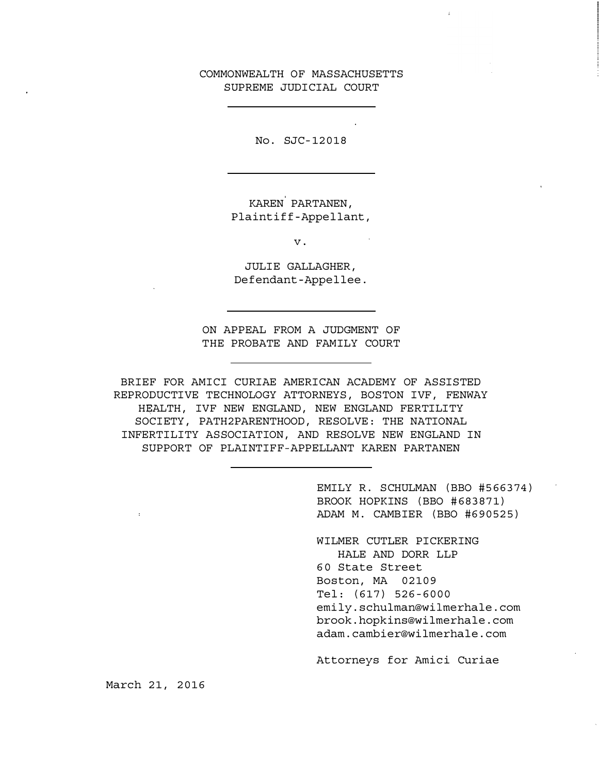## COMMONWEALTH OF MASSACHUSETTS SUPREME JUDICIAL COURT

No. SJC -12018

KAREN PARTANEN, Plaintiff - Appellant,

v.

JULIE GALLAGHER, Defendant - Appellee.

ON APPEAL FROM A JUDGMENT OF THE PROBATE AND FAMILY COURT

BRIEF FOR AMICI CURIAE AMERICAN ACADEMY OF ASSISTED REPRODUCTIVE TECHNOLOGY ATTORNEYS, BOSTON IVF, FENWAY HEALTH, IVF NEW ENGLAND, NEW ENGLAND FERTILITY SOCIETY, PATH2PARENTHOOD, RESOLVE: THE NATIONAL INFERTILITY ASSOCIATION, AND RESOLVE NEW ENGLAND IN SUPPORT OF PLAINTIFF-APPELLANT KAREN PARTANEN

> EMILY R. SCHULMAN (BBO #566374) BROOK HOPKINS (BBO #683871) ADAM M. CAMBIER (BBO #690525)

WILMER CUTLER PICKERING HALE AND DORR LLP 60 State Street Boston, MA 02109 Tel: (617) 526 -6000 emily.schulman@wilmerhale.com brook. hopkins@wilrnerhale. com adam. cambier@wilmerhale.com

Attorneys for Amici Curiae

March 21, 2016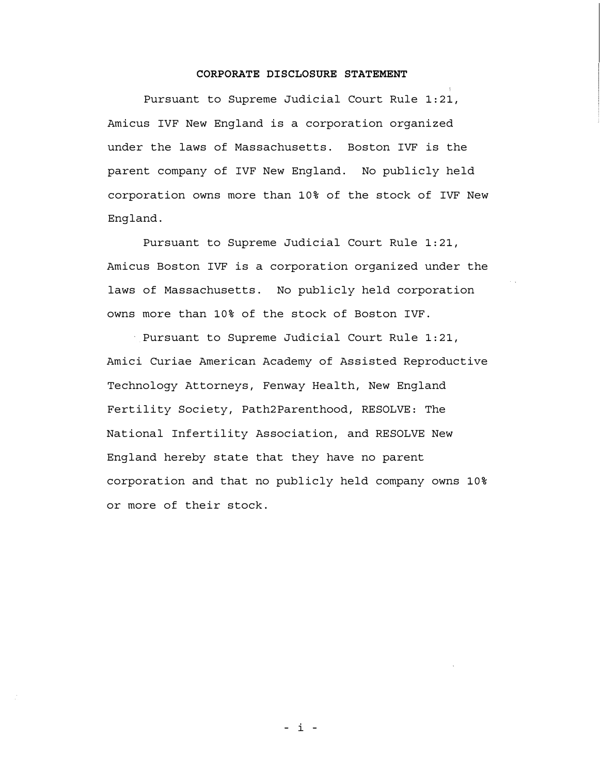### CORPORATE DISCLOSURE STATEMENT

Pursuant to Supreme Judicial Court Rule 1:21, Amicus IVF New England is a corporation organized under the laws of Massachusetts. Boston IVF is the parent company of IVF New England. No publicly held corporation owns more than 10% of the stock of IVF New England.

Pursuant to Supreme Judicial Court Rule 1:21, Amicus Boston IVF is a corporation organized under the laws of Massachusetts. No publicly held corporation owns more than 10% of the stock of Boston IVF.

Pursuant to Supreme Judicial Court Rule 1:21, Amici Curiae American Academy of Assisted Reproductive Technology Attorneys, Fenway Health, New England Fertility Society, Path2Parenthood, RESOLVE: The National Infertility Association, and RESOLVE New England hereby state that they have no parent corporation and that no publicly held company owns 10% or more of their stock.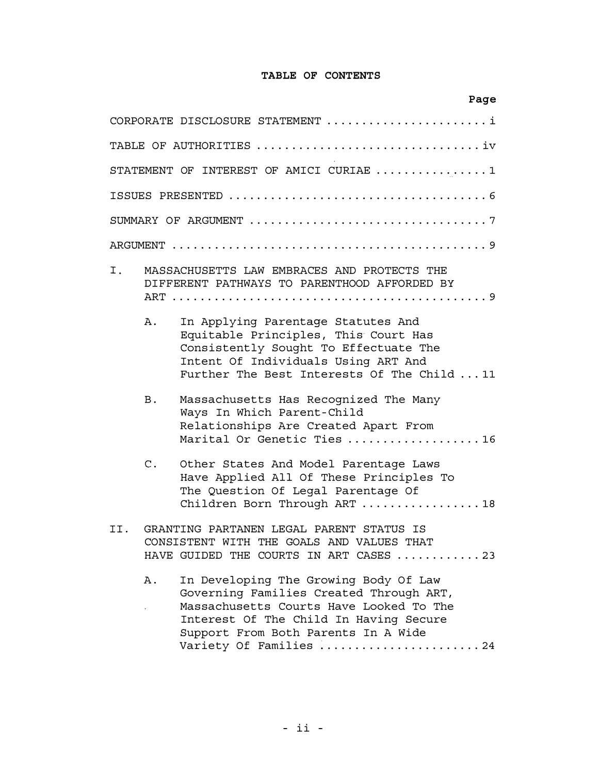# TABLE OF CONTENTS

|               | Page                                                                                                                                                                                                                                   |
|---------------|----------------------------------------------------------------------------------------------------------------------------------------------------------------------------------------------------------------------------------------|
|               | CORPORATE DISCLOSURE STATEMENT i                                                                                                                                                                                                       |
|               | TABLE OF AUTHORITIES iv                                                                                                                                                                                                                |
|               | STATEMENT OF INTEREST OF AMICI CURIAE 1                                                                                                                                                                                                |
|               |                                                                                                                                                                                                                                        |
|               |                                                                                                                                                                                                                                        |
|               |                                                                                                                                                                                                                                        |
| Ι.            | MASSACHUSETTS LAW EMBRACES AND PROTECTS THE<br>DIFFERENT PATHWAYS TO PARENTHOOD AFFORDED BY                                                                                                                                            |
| Α.            | In Applying Parentage Statutes And<br>Equitable Principles, This Court Has<br>Consistently Sought To Effectuate The<br>Intent Of Individuals Using ART And<br>Further The Best Interests Of The Child  11                              |
| <b>B</b> .    | Massachusetts Has Recognized The Many<br>Ways In Which Parent-Child<br>Relationships Are Created Apart From<br>Marital Or Genetic Ties 16                                                                                              |
| $C_{\bullet}$ | Other States And Model Parentage Laws<br>Have Applied All Of These Principles To<br>The Question Of Legal Parentage Of<br>Children Born Through ART  18                                                                                |
| II.           | GRANTING PARTANEN LEGAL PARENT STATUS IS<br>CONSISTENT WITH THE GOALS AND VALUES THAT<br>HAVE GUIDED THE COURTS IN ART CASES 23                                                                                                        |
| Α.            | In Developing The Growing Body Of Law<br>Governing Families Created Through ART,<br>Massachusetts Courts Have Looked To The<br>Interest Of The Child In Having Secure<br>Support From Both Parents In A Wide<br>Variety Of Families 24 |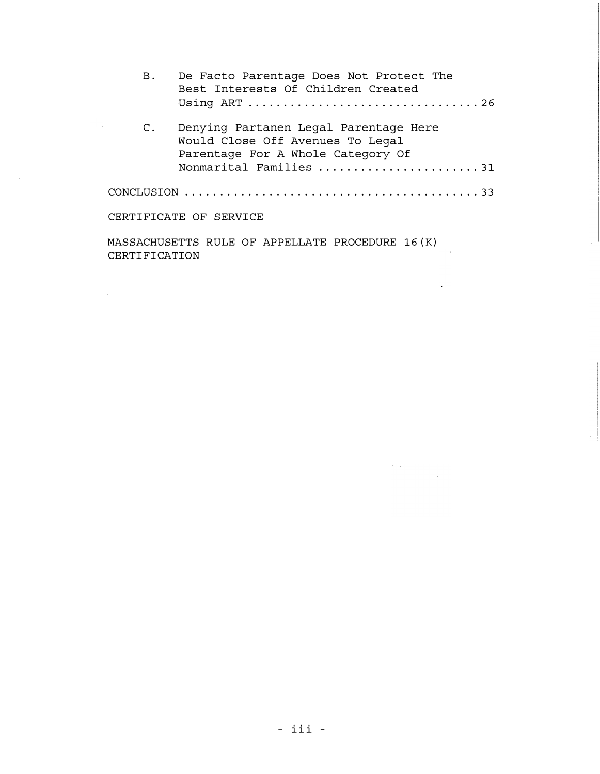| В.             | De Facto Parentage Does Not Protect The<br>Best Interests Of Children Created                                  |
|----------------|----------------------------------------------------------------------------------------------------------------|
| $\mathsf{C}$ . | Denying Partanen Legal Parentage Here<br>Would Close Off Avenues To Legal<br>Parentage For A Whole Category Of |
|                | Nonmarital Families 31                                                                                         |
|                |                                                                                                                |
|                | CERTIFICATE OF SERVICE                                                                                         |
|                |                                                                                                                |

l.<br>A

 $\sim$ 

MASSACHUSETTS RULE OF APPELLATE PROCEDURE 16 (K) CERTIFICATION

 $\mathcal{A}^{\text{max}}$  and  $\mathcal{A}^{\text{max}}$ 

 $\mathcal{L}_{\rm{max}}$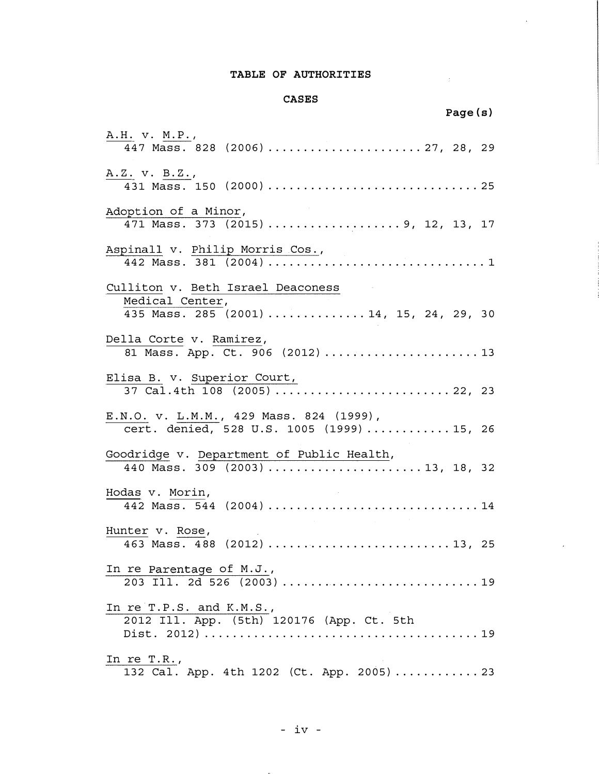## TABLE OF AUTHORITIES

 $\Delta \sim 1$ 

### CASES

|                                                                                       | Page(s) |
|---------------------------------------------------------------------------------------|---------|
| A.H. v. M.P.,<br>447 Mass. 828 (2006)  27, 28, 29                                     |         |
| A.Z. v. B.Z.,                                                                         |         |
| Adoption of a Minor,<br>471 Mass. 373 (2015) 9, 12, 13, 17                            |         |
| Aspinall v. Philip Morris Cos.,                                                       |         |
| Culliton v. Beth Israel Deaconess                                                     |         |
| Medical Center,<br>435 Mass. 285 (2001)  14, 15, 24, 29, 30                           |         |
| Della Corte v. Ramirez,<br>81 Mass. App. Ct. 906 (2012)13                             |         |
| Elisa B. v. Superior Court,                                                           |         |
| E.N.O. v. L.M.M., 429 Mass. 824 (1999),<br>cert. denied, 528 U.S. 1005 (1999)  15, 26 |         |
| Goodridge v. Department of Public Health,<br>440 Mass. 309 (2003) 13, 18, 32          |         |
| Hodas v. Morin,<br>442 Mass. 544 (2004) 14                                            |         |
| Hunter v. Rose,<br>463 Mass. 488 (2012)  13, 25                                       |         |
| In re Parentage of M.J.,<br>203 Ill. 2d 526 (2003) 19                                 |         |
| In re T.P.S. and K.M.S.,<br>2012 Ill. App. (5th) 120176 (App. Ct. 5th                 |         |
| In re $T.R.,$<br>132 Cal. App. 4th 1202 (Ct. App. 2005)23                             |         |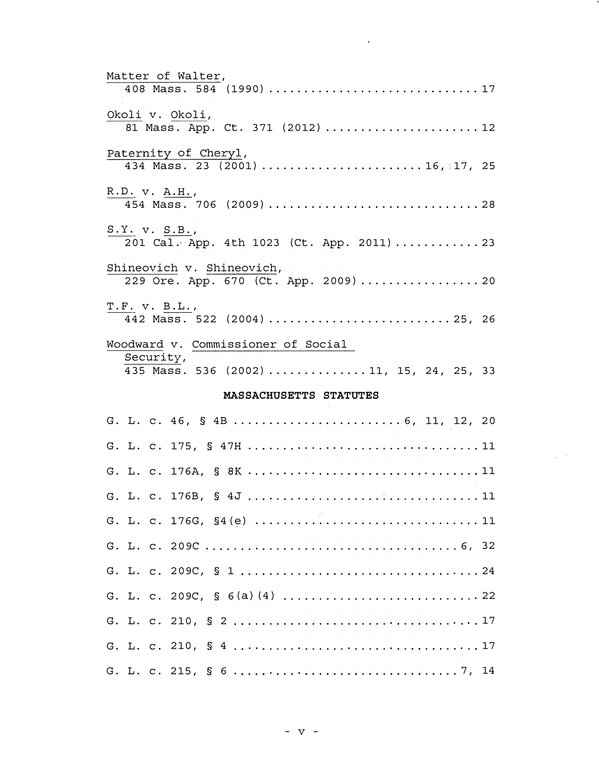| Matter of Walter,<br>408 Mass. 584 (1990) 17                     |
|------------------------------------------------------------------|
| Okoli v. Okoli,<br>81 Mass. App. Ct. 371 (2012) 12               |
| Paternity of Cheryl,<br>434 Mass. 23 (2001) 16, 17, 25           |
| R.D. v. A.H.,                                                    |
| $S.Y.$ $V.$ $S.B.,$<br>201 Cal. App. 4th 1023 (Ct. App. 2011)23  |
| Shineovich v. Shineovich,<br>229 Ore. App. 670 (Ct. App. 2009)20 |
| T.F. V. B.L.,                                                    |
| Woodward v. Commissioner of Social                               |
| Security,<br>435 Mass. 536 (2002) 11, 15, 24, 25, 33             |
| MASSACHUSETTS STATUTES                                           |
| G. L. c. 46, § 4B  6, 11, 12, 20                                 |
|                                                                  |
|                                                                  |
|                                                                  |
|                                                                  |
|                                                                  |
|                                                                  |
|                                                                  |

 $\sim$ 

 $\mathcal{L}_{\mathrm{eff}}$  ,  $\mathcal{L}_{\mathrm{eff}}$ 

G. L. c. 210, § 2 . . . 17

G. L. c. 210, § 4 . . . . . . 17

G. L. c. 215, § 6 . . . 7 I 14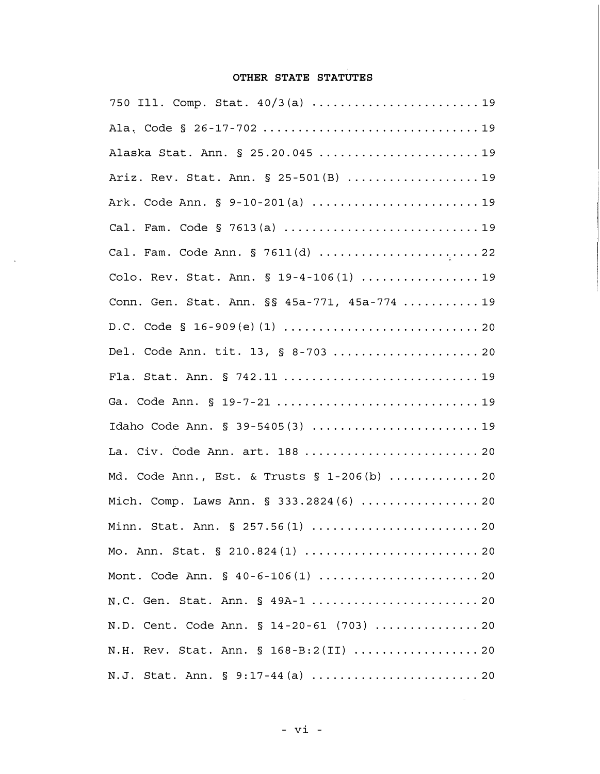# OTHER STATE STATUTES

| Alaska Stat. Ann. § 25.20.045  19             |
|-----------------------------------------------|
| Ariz. Rev. Stat. Ann. § 25-501(B) 19          |
| Ark. Code Ann. § 9-10-201(a) 19               |
|                                               |
| Cal. Fam. Code Ann. § 7611(d) 22              |
| Colo. Rev. Stat. Ann. § 19-4-106(1) 19        |
| Conn. Gen. Stat. Ann. §§ 45a-771, 45a-774  19 |
|                                               |
| Del. Code Ann. tit. 13, § 8-703  20           |
| Fla. Stat. Ann. § 742.11  19                  |
| Ga. Code Ann. § 19-7-21 19                    |
|                                               |
| La. Civ. Code Ann. art. 188  20               |
| Md. Code Ann., Est. & Trusts $\S$ 1-206(b) 20 |
| Mich. Comp. Laws Ann. § 333.2824(6)  20       |
| Minn. Stat. Ann. § 257.56(1)  20              |
|                                               |
|                                               |
|                                               |
| N.D. Cent. Code Ann. § 14-20-61 (703)  20     |
| N.H. Rev. Stat. Ann. § 168-B:2(II)  20        |
| N.J. Stat. Ann. § 9:17-44(a)  20              |

 $\Delta_{\rm{eff}}$ 

 $\mathbb{R}^2$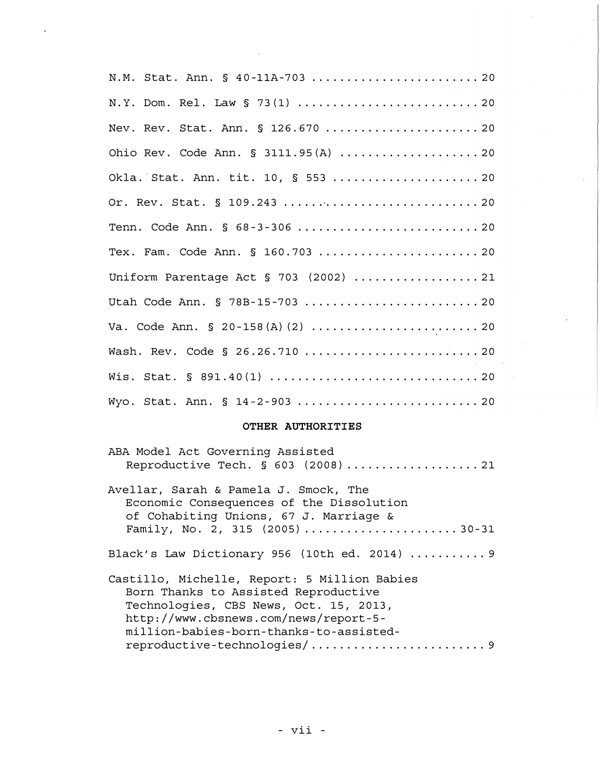N.M. Stat. Ann. § 40-11A-703 ............................ 20 N. Y. Dom. Rel. Law § 73(1) .................................. 20 Nev. Rev. Stat. Ann. § 126. 670 ...... ................ 20 Ohio Rev. Code Ann. § 3111. 95 (A) ...... .............. 20 Okla. Stat. Ann. tit. 10, § 553 ...... ...... ......... 20 Or. Rev. Stat. § 109. 243 ............. ................ 20 Tenn. Code Ann. § 68-3-306 .................................20 Tex. Fam. Code Ann. § 160. 703 ........... ............ 20 Uniform Parentage Act § 703 (2002) .................. 21 Utah Code Ann. § 78B- 15-703 ............ ............. 20 Va. Code Ann. § 20-158(A)(2) ..............................20 Wash. Rev. Code § 26.26.710 ............................... 20 Wis. Stat. § 891. 40 (1) ................ .............. 20 Wyo. Stat. Ann. § 14-2-903 ................................ 20

#### OTHER AUTHORITIES

| ABA Model Act Governing Assisted<br>Reproductive Tech. § 603 (2008)  21                                                                                                                                            |
|--------------------------------------------------------------------------------------------------------------------------------------------------------------------------------------------------------------------|
| Avellar, Sarah & Pamela J. Smock, The<br>Economic Consequences of the Dissolution<br>of Cohabiting Unions, 67 J. Marriage &<br>Family, No. 2, 315 $(2005)$ 30-31                                                   |
| Black's Law Dictionary 956 (10th ed. 2014)  9                                                                                                                                                                      |
| Castillo, Michelle, Report: 5 Million Babies<br>Born Thanks to Assisted Reproductive<br>Technologies, CBS News, Oct. 15, 2013,<br>http://www.cbsnews.com/news/report-5-<br>million-babies-born-thanks-to-assisted- |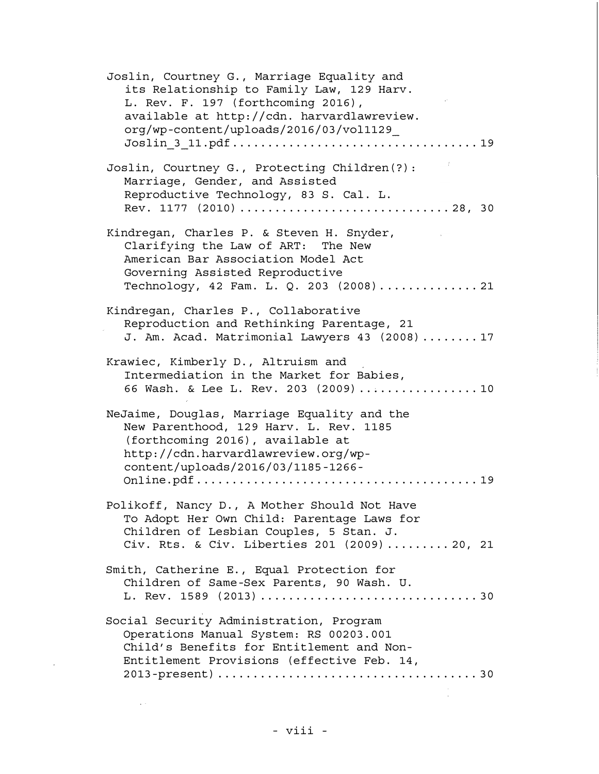Joslin, Courtney G. , Marriage Equality and its Relationship to Family Law, 129 Harv. L. Rev. F. 197 (forthcoming 2016), available at http://cdn. harvardlawreview. org/wp-content/uploads/2016/03/vol1129\_ Joslin\_3\_11. pdf ................................... 19 Joslin, Courtney G., Protecting Children(?): Marriage, Gender, and Assisted Reproductive Technology, 83 S. Cal. L. Rev. 1177 (2010) .............................. 28, 30 Kindregan, Charles P. & Steven H. Snyder, Clarifying the Law of ART: The New American Bar Association Model Act Governing Assisted Reproductive Technology, 42 Fam. L. Q. 203 (2008) . . ............ 21 Kindregan, Charles P. , Collaborative Reproduction and Rethinking Parentage, 21 J. Am. Acad. Matrimonial Lawyers 43 (2008) ........ 17 Krawiec, Kimberly D. , Altruism and Intermediation in the Market for Babies, 66 Wash. & Lee L. Rev. 203 (2009)..................10 NeJaime, Douglas, Marriage Equality and the New Parenthood, 129 Harv. L. Rev. 1185 (forthcoming 2016), available at http://cdn. harvardlawreview. org/wpcontent/uploads/2016/03/1185-1266- Onl ine . pdf . . . . . . . . . . . . . . . . . . . . . . . . . . . . . . . . . . . . . . . . 19 Polikoff, Nancy D. , A Mother Should Not Have To Adopt Her Own Child: Parentage Laws for Children of Lesbian Couples, 5 Stan. J. Civ. Rts. & Civ. Liberties 201 (2009) ......... 20, 21 Smith, Catherine E., Equal Protection for Children of Same-Sex Parents, 90 Wash. U. L. Rev. 15 8 9 ( 2013) ...... ............... .......... 3 O Social Security Administration, Program Operations Manual System: RS 00203. 001 Child's Benefits for Entitlement and Non Entitlement Provisions (effective Feb. 14, 2013-present) ......... ............ ................ 30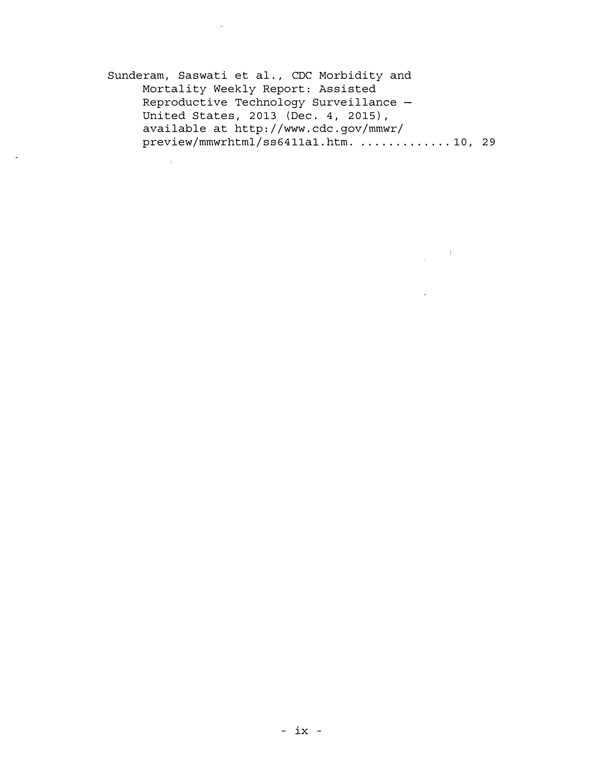Sunderam, Saswati et al., CDC Morbidity and Mortality Weekly Report: Assisted Reproductive Technology Surveillance - United States, 2013 (Dec. 4, 2015), available at http://www. cdc. gov/mmwr/ preview/mmwrhtml/ss6411a1.htm. .............10, 29

 $\label{eq:2.1} \frac{1}{2} \int_{\mathbb{R}^3} \frac{1}{\sqrt{2}} \, \mathrm{d} \xi \, \mathrm{d} \xi \, \mathrm{d} \xi \, \mathrm{d} \xi \, \mathrm{d} \xi \, \mathrm{d} \xi \, \mathrm{d} \xi \, \mathrm{d} \xi \, \mathrm{d} \xi \, \mathrm{d} \xi \, \mathrm{d} \xi \, \mathrm{d} \xi \, \mathrm{d} \xi \, \mathrm{d} \xi \, \mathrm{d} \xi \, \mathrm{d} \xi \, \mathrm{d} \xi \, \mathrm{d} \xi \, \mathrm{d} \xi \, \mathrm{d} \xi \,$ 

 $\sim 10^6$ 

 $\mathcal{L}$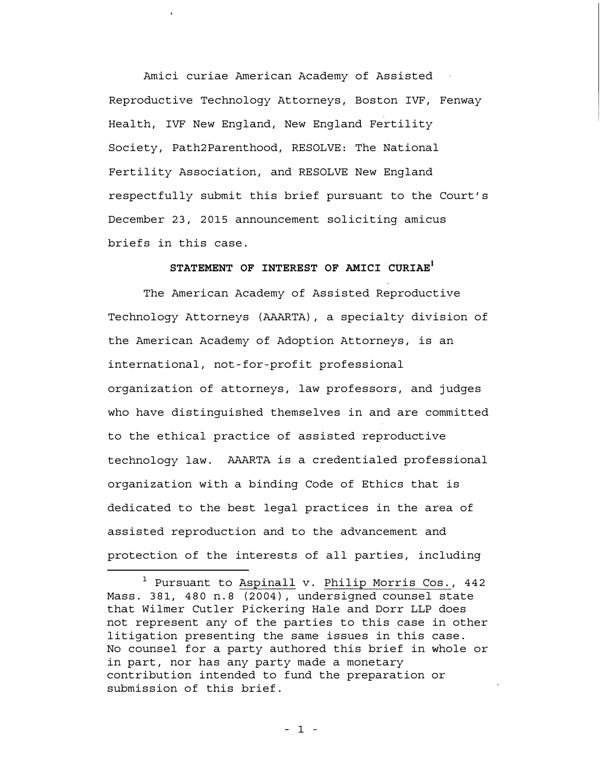Amici curiae American Academy of Assisted Reproductive Technology Attorneys, Boston IVF, Fenway Health, IVF New England, New England Fertility Society, Path2Parenthood, RESOLVE: The National Fertility Association, and RESOLVE New England respectfully submit this brief pursuant to the Court's December 23, 2015 announcement soliciting amicus briefs in this case.

# STATEMENT OF INTEREST OF AMICI CURIAE<sup>1</sup>

The American Academy of Assisted Reproductive Technology Attorneys (AAARTA), a specialty division of the American Academy of Adoption Attorneys, is an international, not-for-profit professional organization of attorneys, law professors, and judges who have distinguished themselves in and are committed to the ethical practice of assisted reproductive technology law. AAARTA is a credentialed professional organization with a binding Code of Ethics that is dedicated to the best legal practices in the area of assisted reproduction and to the advancement and protection of the interests of all parties, including

<sup>&</sup>lt;sup>1</sup> Pursuant to Aspinall v. Philip Morris Cos., 442 Mass. 381, 480 n. 8 (2004), undersigned counsel state that Wilmer Cutler Pickering Hale and Dorr LLP does not represent any of the parties to this case in other litigation presenting the same issues in this case. No counsel for a party authored this brief in whole or in part, nor has any party made a monetary contribution intended to fund the preparation or submission of this brief.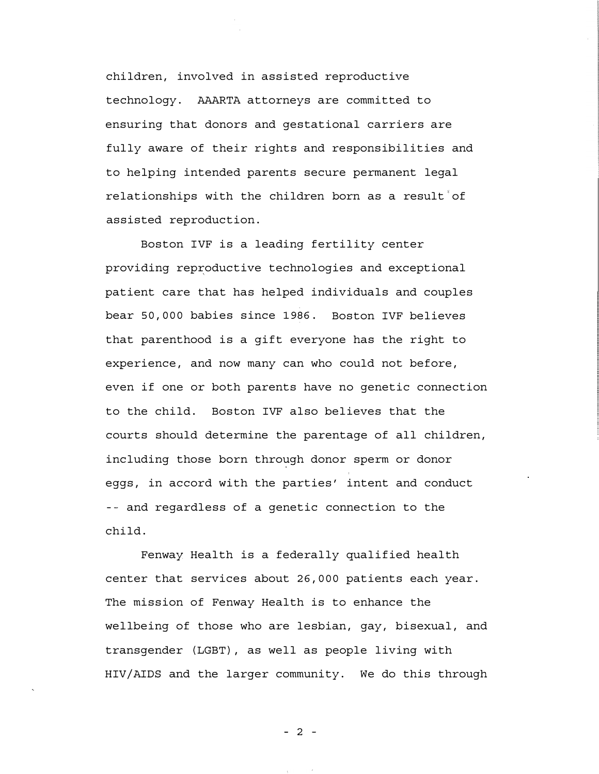children, involved in assisted reproductive technology. AAARTA attorneys are committed to ensuring that donors and gestational carriers are fully aware of their rights and responsibilities and to helping intended parents secure permanent legal relationships with the children born as a result of assisted reproduction.

Boston IVF is a leading fertility center providing reproductive technologies and exceptional patient care that has helped individuals and couples bear 50, 000 babies since 1986. Boston IVF believes that parenthood is a gift everyone has the right to experience, and now many can who could not before, even if one or both parents have no genetic connection to the child. Boston IVF also believes that the courts should determine the parentage of all children, including those born through donor sperm or donor eggs, in accord with the parties' intent and conduct -- and regardless of a genetic connection to the child.

Fenway Health is a federally qualified health center that services about 26, 000 patients each year. The mission of Fenway Health is to enhance the wellbeing of those who are lesbian, gay, bisexual, and transgender (LGBT) , as well as people living with HIV/AIDS and the larger community. We do this through

- 2 -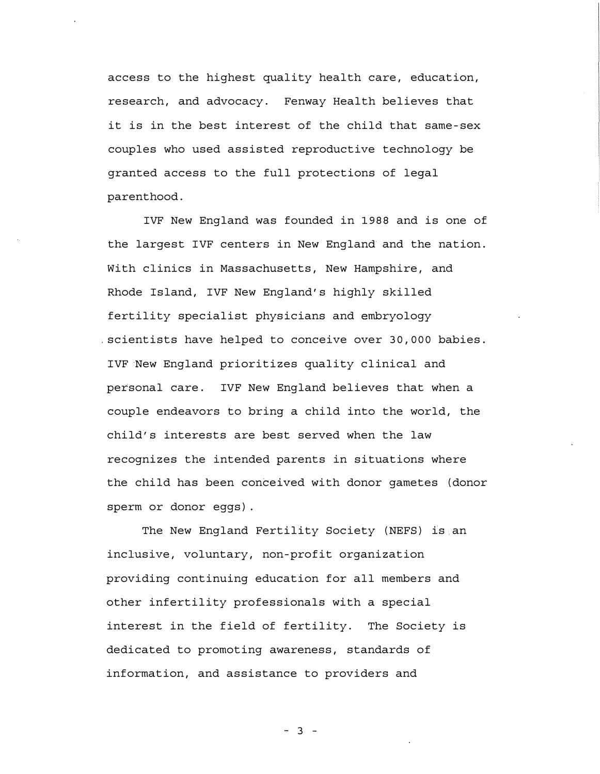access to the highest quality health care, education, research, and advocacy. Fenway Health believes that it is in the best interest of the child that same-sex couples who used assisted reproductive technology be granted access to the full protections of legal parenthood.

IVF New England was founded in 1988 and is one of the largest IVF centers in New England and the nation. With clinics in Massachusetts, New Hampshire, and Rhode Island, IVF New England's highly skilled fertility specialist physicians and embryology . scientists have helped to conceive over 30, 000 babies. IVF New England prioritizes quality clinical and personal care. IVF New England believes that when a couple endeavors to bring a child into the world, the child's interests are best served when the law recognizes the intended parents in situations where the child has been conceived with donor gametes (donor sperm or donor eggs) .

The New England Fertility Society (NEFS) is an inclusive, voluntary, non-profit organization providing continuing education for all members and other infertility professionals with a special interest in the field of fertility. The Society is dedicated to promoting awareness, standards of information, and assistance to providers and

- 3 -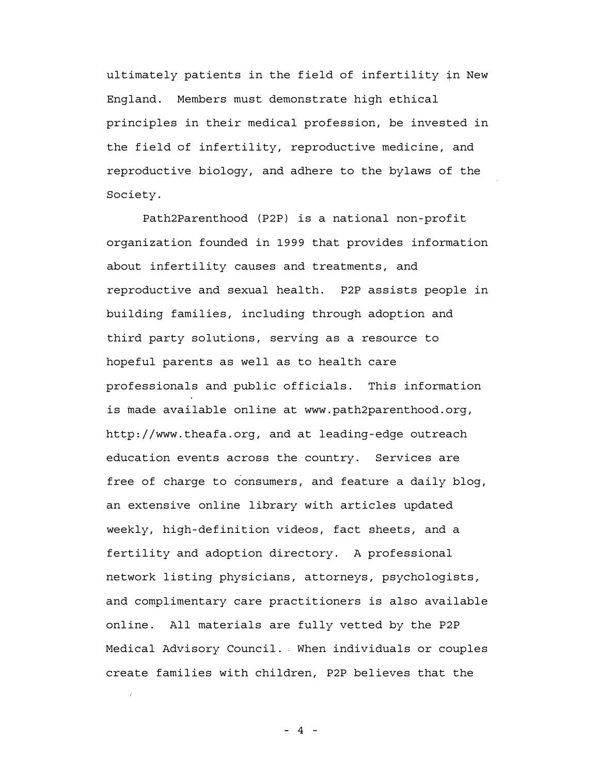ultimately patients in the field of infertility in New England. Members must demonstrate high ethical principles in their medical profession, be invested in the field of infertility, reproductive medicine, and reproductive biology, and adhere to the bylaws of the Society.

Path2Parenthood (P2P) is a national non-profit organization founded in 1999 that provides information about infertility causes and treatments, and reproductive and sexual health. P2P assists people in building families, including through adoption and third party solutions, serving as a resource to hopeful parents as well as to health care professionals and public officials. This information is made available online at www. path2parenthood. org, http://www. theafa. org, and at leading-edge outreach education events across the country. Services are free of charge to consumers, and feature a daily blog, an extensive online library with articles updated weekly, high-definition videos, fact sheets, and a fertility and adoption directory. A professional network listing physicians, attorneys, psychologists, and complimentary care practitioners is also available online. All materials are fully vetted by the P2P Medical Advisory Council. When individuals or couples create families with children, P2P believes that the

 $- 4 -$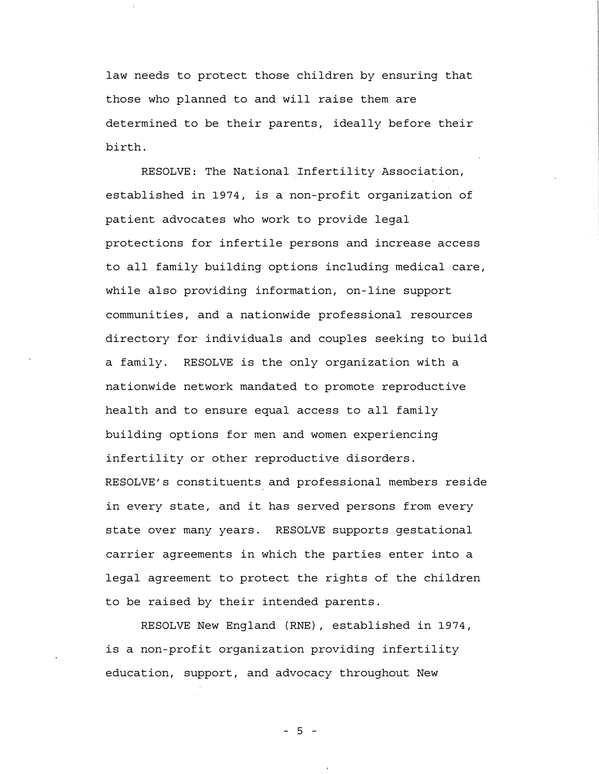law needs to protect those children by ensuring that those who planned to and will raise them are determined to be their parents, ideally before their birth.

RESOLVE: The National Infertility Association, established in 1974, is a non-profit organization of patient advocates who work to provide legal protections for infertile persons and increase access to all family building options including medical care, while also providing information, on-line support communities, and a nationwide professional resources directory for individuals and couples seeking to build a family. RESOLVE is the only organization with a nationwide network mandated to promote reproductive health and to ensure equal access to all family building options for men and women experiencing infertility or other reproductive disorders. RESOLVE's constituents and professional members reside in every state, and it has served persons from every state over many years. RESOLVE supports gestational carrier agreements in which the parties enter into a legal agreement to protect the rights of the children to be raised by their intended parents.

RESOLVE New England (RNE), established in 1974, is a non-profit organization providing infertility education, support, and advocacy throughout New

- 5 -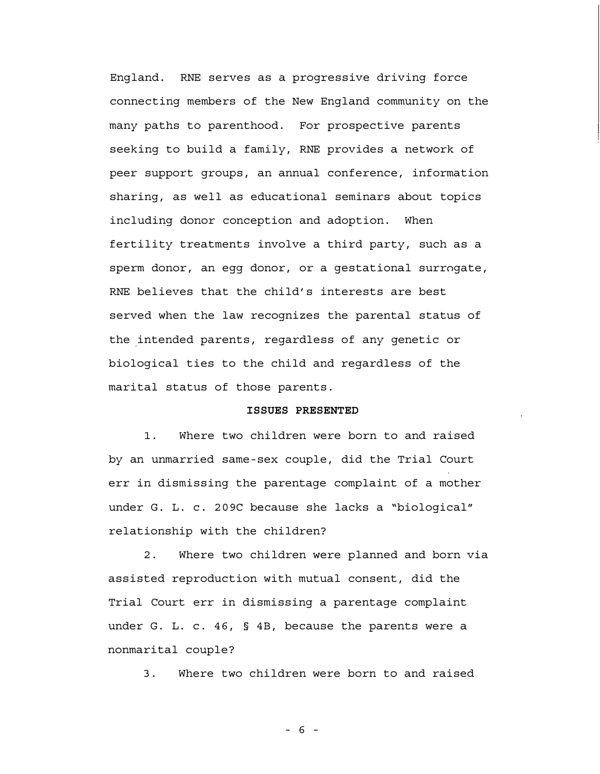England. RNE serves as a progressive driving force connecting members of the New England community on the many paths to parenthood. For prospective parents seeking to build a family, RNE provides a network of peer support groups, an annual conference, information sharing, as well as educational seminars about topics including donor conception and adoption. When fertility treatments involve a third party, such as a sperm donor, an egg donor, or a gestational surrogate, RNE believes that the child's interests are best served when the law recognizes the parental status of the intended parents, regardless of any genetic or biological ties to the child and regardless of the marital status of those parents.

### ISSUES PRESENTED

1. Where two children were born to and raised by an unmarried same -sex couple, did the Trial Court err in dismissing the parentage complaint of a mother under G. L. c. 209C because she lacks a "biological" relationship with the children?

2. Where two children were planned and born via assisted reproduction with mutual consent, did the Trial Court err in dismissing a parentage complaint under G. L. c. 46, § 4B, because the parents were a nonmarital couple?

3. Where two children were born to and raised

- 6 -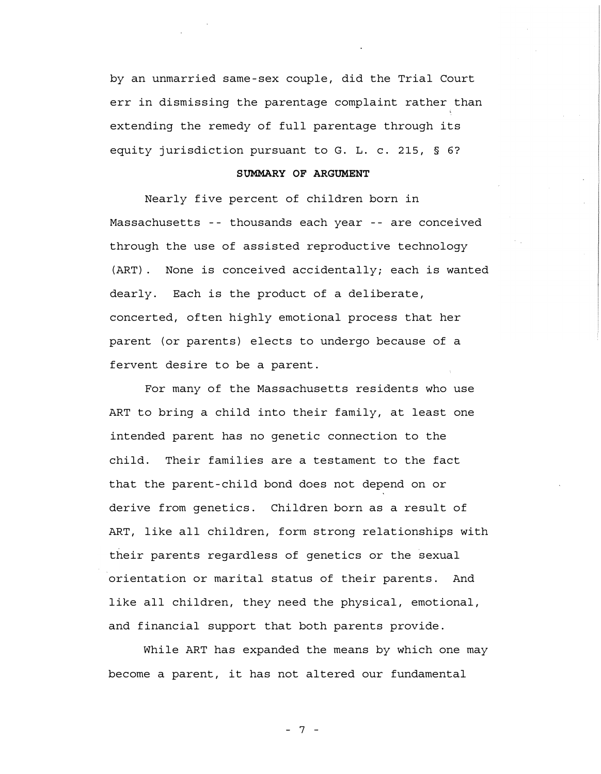by an unmarried same-sex couple, did the Trial Court err in dismissing the parentage complaint rather than extending the remedy of full parentage through its equity jurisdiction pursuant to G. L. c. 215, § 6?

### SUMMARY OF ARGUMENT

Nearly five percent of children born in Massachusetts -- thousands each year -- are conceived through the use of assisted reproductive technology (ART). None is conceived accidentally; each is wanted dearly. Each is the product of a deliberate, concerted, often highly emotional process that her parent (or parents) elects to undergo because of a fervent desire to be a parent.

For many of the Massachusetts residents who use ART to bring a child into their family, at least one intended parent has no genetic connection to the child. Their families are a testament to the fact that the parent - child bond does not depend on or derive from genetics. Children born as a result of ART, like all children, form strong relationships with their parents regardless of genetics or the sexual orientation or marital status of their parents. And like all children, they need the physical, emotional, and financial support that both parents provide.

While ART has expanded the means by which one may become a parent, it has not altered our fundamental

- 7 -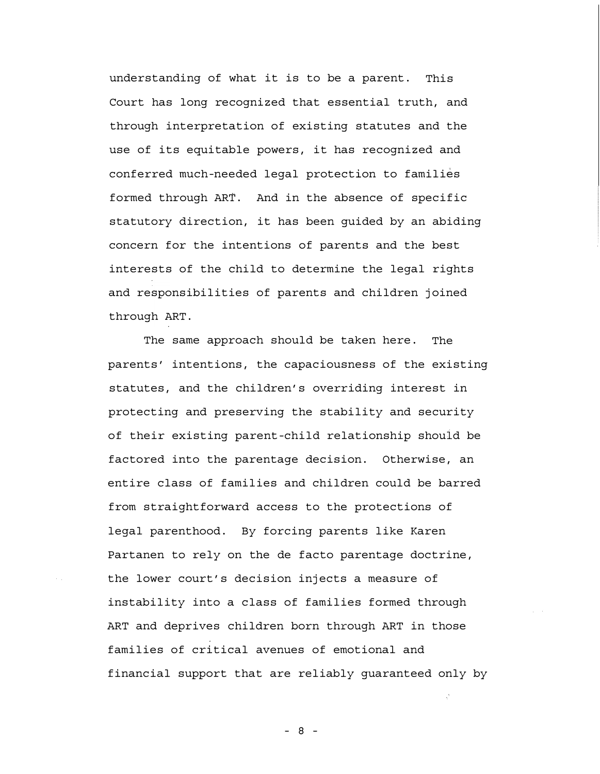understanding of what it is to be a parent. This Court has long recognized that essential truth, and through interpretation of existing statutes and the use of its equitable powers, it has recognized and conferred much-needed legal protection to families formed through ART. And in the absence of specific statutory direction, it has been guided by an abiding concern for the intentions of parents and the best interests of the child to determine the legal rights and responsibilities of parents and children joined through ART.

The same approach should be taken here. The parents' intentions, the capaciousness of the existing statutes, and the children's overriding interest in protecting and preserving the stability and security of their existing parent-child relationship should be factored into the parentage decision. Otherwise, an entire class of families and children could be barred from straightforward access to the protections of legal parenthood. By forcing parents like Karen Partanen to rely on the de facto parentage doctrine, the lower court's decision injects a measure of instability into a class of families formed through ART and deprives children born through ART in those families of critical avenues of emotional and financial support that are reliably guaranteed only by

- 8 -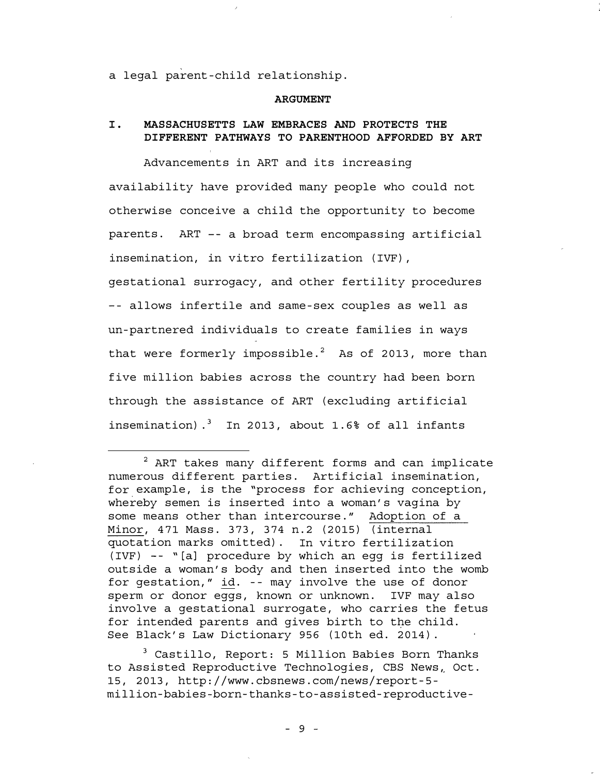a legal parent -child relationship.

#### ARGUMENT

## I. MASSACHUSETTS LAW EMBRACES AND PROTECTS THE DIFFERENT PATHWAYS TO PARENTHOOD AFFORDED BY ART

Advancements in ART and its increasing availability have provided many people who could not otherwise conceive a child the opportunity to become parents. ART -- a broad term encompassing artificial insemination, in vitro fertilization (IVF), gestational surrogacy, and other fertility procedures -- allows infertile and same-sex couples as well as un-partnered individuals to create families in ways that were formerly impossible.<sup>2</sup> As of 2013, more than five million babies across the country had been born through the assistance of ART (excluding artificial insemination).<sup>3</sup> In 2013, about 1.6% of all infants

 $2$  ART takes many different forms and can implicate numerous different parties. Artificial insemination, for example, is the "process for achieving conception, . whereby semen is inserted into a woman's vagina by some means other than intercourse. " Adoption of a Minor, 471 Mass. 373, 374 n. 2 (2015) (internal quotation marks omitted) . In vitro fertilization (IVF) - - "[a] procedure by which an egg is fertilized outside a woman's body and then inserted into the womb for gestation,"  $\underline{id}$ . -- may involve the use of donor sperm or donor eggs, known or unknown. IVF may also involve a gestational surrogate, who carries the fetus for intended parents and gives birth to the child. See Black's Law Dictionary 956 (10th ed. 2014).

3 Castillo, Report: 5 Million Babies Born Thanks to Assisted Reproductive Technologies, CBS News, Oct. 15, 2013, http://www. cbsnews. com/news/report -5 million - babies�born - thanks - to -assisted - reproductive -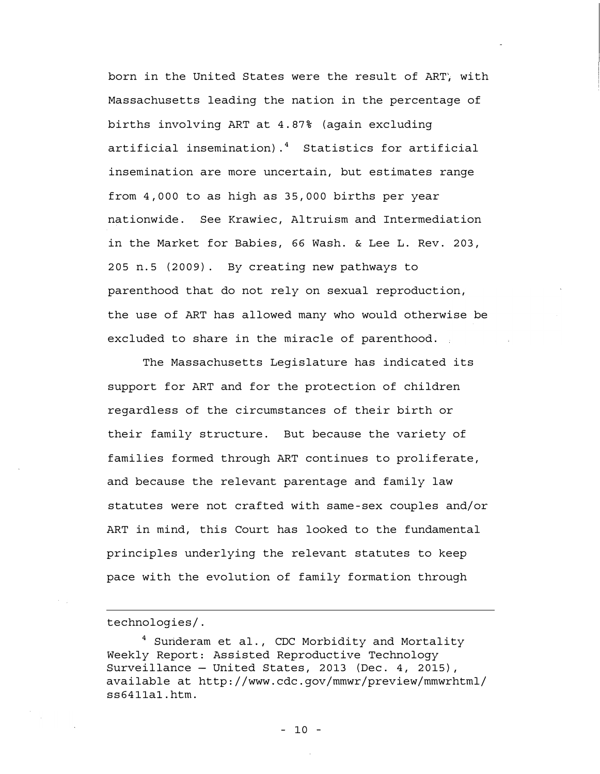born in the United States were the result of ART, with Massachusetts leading the nation in the percentage of births involving ART at 4. 87% (again excluding artificial insemination) .4 Statistics for artificial insemination are more uncertain, but estimates range from 4, 000 to as high as 35, 000 births per year nationwide. See Krawiec, Altruism and Intermediation in the Market for Babies, 66 Wash. & Lee L. Rev. 203, 205 n. 5 (2009). By creating new pathways to parenthood that do not rely on sexual reproduction, the use of ART has allowed many who would otherwise be excluded to share in the miracle of parenthood.

The Massachusetts Legislature has indicated its support for ART and for the protection of children regardless of the circumstances of their birth or their family structure. But because the variety of families formed through ART continues to proliferate, and because the relevant parentage and family law statutes were not crafted with same -sex couples and/or ART in mind, this Court has looked to the fundamental principles underlying the relevant statutes to keep pace with the evolution of family formation through

technologies/.

 $4$  Sunderam et al., CDC Morbidity and Mortality Weekly Report: Assisted Reproductive Technology Surveillance  $-$  United States, 2013 (Dec. 4, 2015), available at http://www. cdc. gov/mmwr/preview/mmwrhtml/ ss6411al. htm.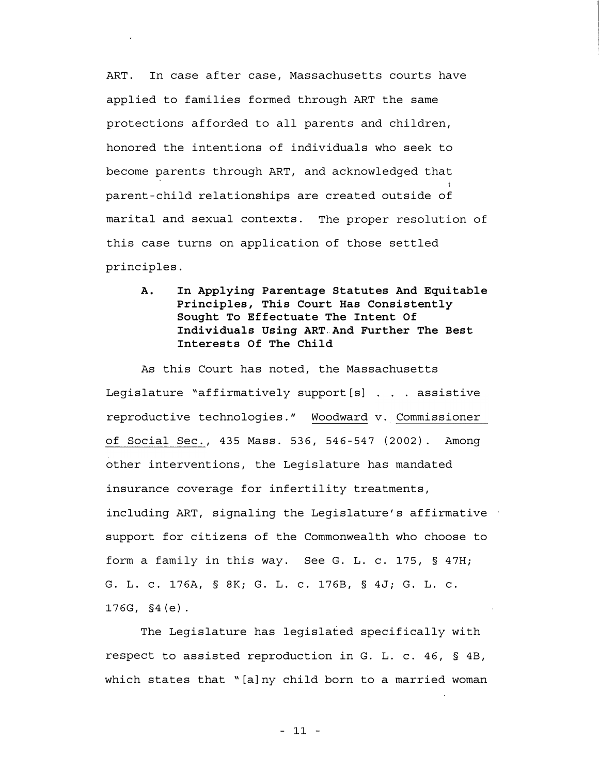ART. In case after case, Massachusetts courts have applied to families formed through ART the same protections afforded to all parents and children, honored the intentions of individuals who seek to become parents through ART, and acknowledged that parent-child relationships are created outside of marital and sexual contexts. The proper resolution of this case turns on application of those settled principles.

|<br>|<br>|

A. In Applying Parentage Statutes And Equitable Principles, This Court Has Consistently Sought To Effectuate The Intent Of Individuals Using ART And Further The Best Interests Of The Child

As this Court has noted, the Massachusetts Leqislature "affirmatively support  $[s]$  . . . assistive reproductive technologies. " Woodward v. Commissioner of Social Sec. , 435 Mass. 536, 546-547 (2002). Among other interventions, the Legislature has mandated insurance coverage for infertility treatments, including ART, signaling the Legislature's affirmative support for citizens of the Commonwealth who choose to form a family in this way. See G. L. c. 175, § 47H; G. L. c. 176A, § 8K; G. L. c. 176B, § 4J; G. L. c. 176G, §4 (e).

The Legislature has legislated specifically with respect to assisted reproduction in G. L. c. 46, § 4B, which states that "[a]ny child born to a married woman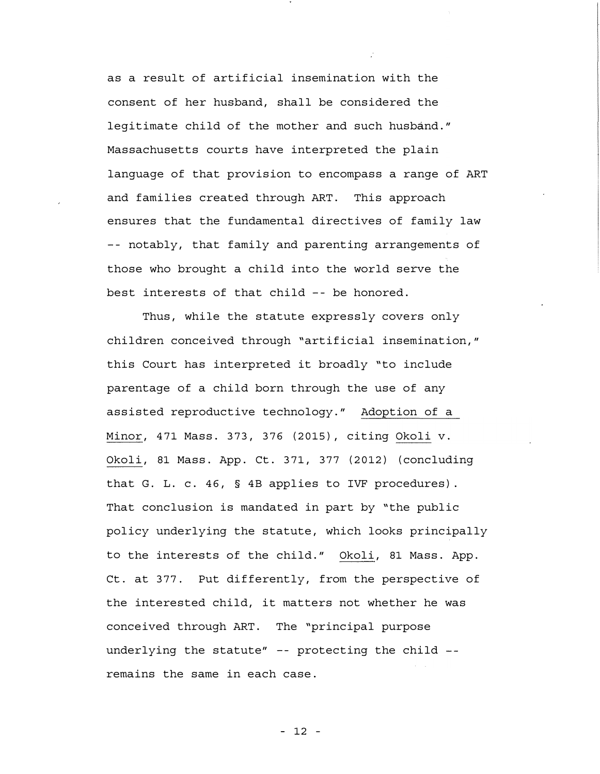as a result of artificial insemination with the consent of her husband, shall be considered the legitimate child of the mother and such husband." Massachusetts courts have interpreted the plain language of that provision to encompass a range of ART and families created through ART. This approach ensures that the fundamental directives of family law -- notably, that family and parenting arrangements of those who brought a child into the world serve the best interests of that child -- be honored.

Thus, while the statute expressly covers only children conceived through "artificial insemination," this Court has interpreted it broadly "to include parentage of a child born through the use of any assisted reproductive technology." Adoption of a Minor, 471 Mass. 373, 376 (2015), citing Okoli v. Okoli, 81 Mass. App. Ct. 371, 377 (2012) (concluding that G. L. c. 46, § 4B applies to IVF procedures). That conclusion is mandated in part by "the public policy underlying the statute, which looks principally to the interests of the child." Okoli, 81 Mass. App. Ct. at 377. Put differently, from the perspective of the interested child, it matters not whether he was conceived through ART. The "principal purpose underlying the statute"  $-$ - protecting the child  $-$ remains the same in each case.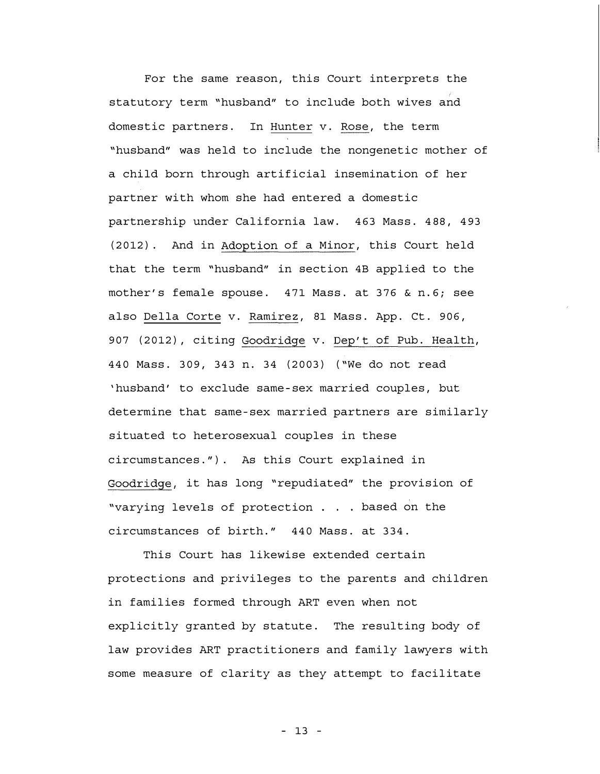For the same reason, this Court interprets the statutory term "husband" to include both wives and domestic partners. In Hunter v. Rose, the term "husband" was held to include the nongenetic mother of a child born through artificial insemination of her partner with whom she had entered a domestic partnership under California law. 463 Mass. 488, 493 (2012). And in Adoption of a Minor, this Court held that the term "husband" in section 4B applied to the mother's female spouse. 471 Mass. at 376 & n. 6; see also Della Corte v. Ramirez, 81 Mass. App. Ct. 906, 907 (2012), citing Goodridge v. Dep't of Pub. Health, 440 Mass. 309, 343 n. 34 (2003) ( "We do not read 'husband' to exclude same - sex married couples, but determine that same -sex married partners are similarly situated to heterosexual couples in these circumstances. " ). As this Court explained in Goodridge, it has long "repudiated" the provision of "varying levels of protection . . . based on the circumstances of birth. " 440 Mass. at 334.

This Court has likewise extended certain protections and privileges to the parents and children in families formed through ART even when not explicitly granted by statute. The resulting body of law provides ART practitioners and family lawyers with some measure of clarity as they attempt to facilitate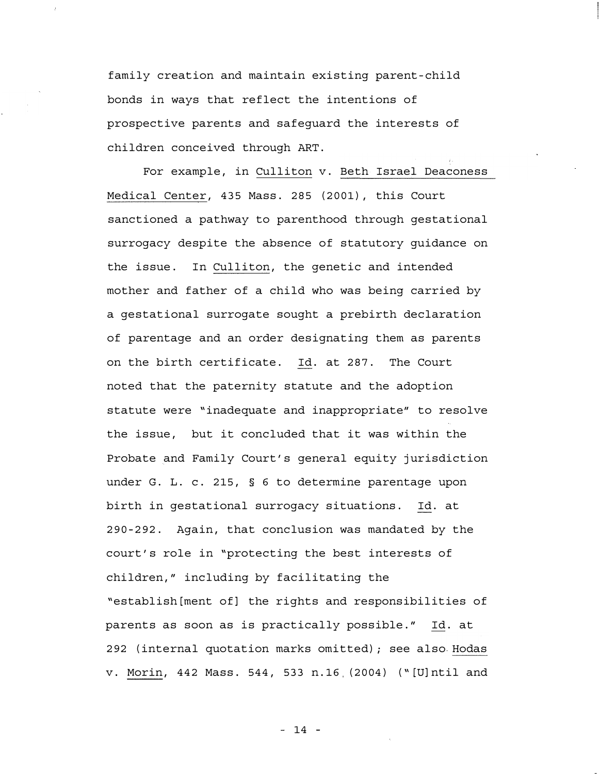family creation and maintain existing parent -child bonds in ways that reflect the intentions of prospective parents and safeguard the interests of children conceived through ART.

For example, in Culliton v. Beth Israel Deaconess Medical Center, 435 Mass. 285 (2001), this Court sanctioned a pathway to parenthood through gestational surrogacy despite the absence of statutory guidance on the issue. In Culliton, the genetic and intended mother and father of a child who was being carried by a gestational surrogate sought a prebirth declaration of parentage and an order designating them as parents on the birth certificate. Id. at 287. The Court noted that the paternity statute and the adoption statute were "inadequate and inappropriate" to resolve the issue, but it concluded that it was within the Probate and Family Court's general equity jurisdiction under G. L. c. 215, § 6 to determine parentage upon birth in gestational surrogacy situations. Id. at 290-292. Again, that conclusion was mandated by the court's role in "protecting the best interests of children," including by facilitating the "establish[ment of] the rights and responsibilities of parents as soon as is practically possible. " Id. at 292 (internal quotation marks omitted); see also Hodas v. Morin, 442 Mass. 544, 533 n. 16 (2004) ("[U]ntil and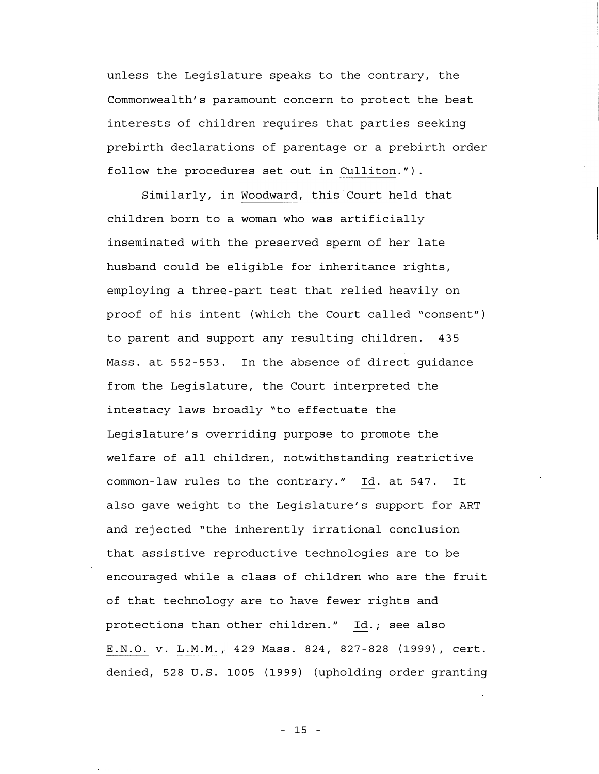unless the Legislature speaks to the contrary, the Commonwealth's paramount concern to protect the best interests of children requires that parties seeking prebirth declarations of parentage or a prebirth order follow the procedures set out in Culliton." ).

Similarly, in Woodward, this Court held that children born to a woman who was artificially inseminated with the preserved sperm of her late husband could be eligible for inheritance rights, employing a three-part test that relied heavily on proof of his intent (which the Court called "consent" ) to parent and support any resulting children. 435 Mass. at 552 -553. In the absence of direct guidance from the Legislature, the Court interpreted the intestacy laws broadly "to effectuate the Legislature's overriding purpose to promote the welfare of all children, notwithstanding restrictive common-law rules to the contrary." Id. at 547. It also gave weight to the Legislature's support for ART and rejected "the inherently irrational conclusion that assistive reproductive technologies are to be encouraged while a class of children who are the fruit of that technology are to have fewer rights and protections than other children." Id.; see also E. N. O. v. L. M. M., 429 Mass. 824, 827-828 (1999), cert. denied, 528 U.S. 1005 (1999) (upholding order granting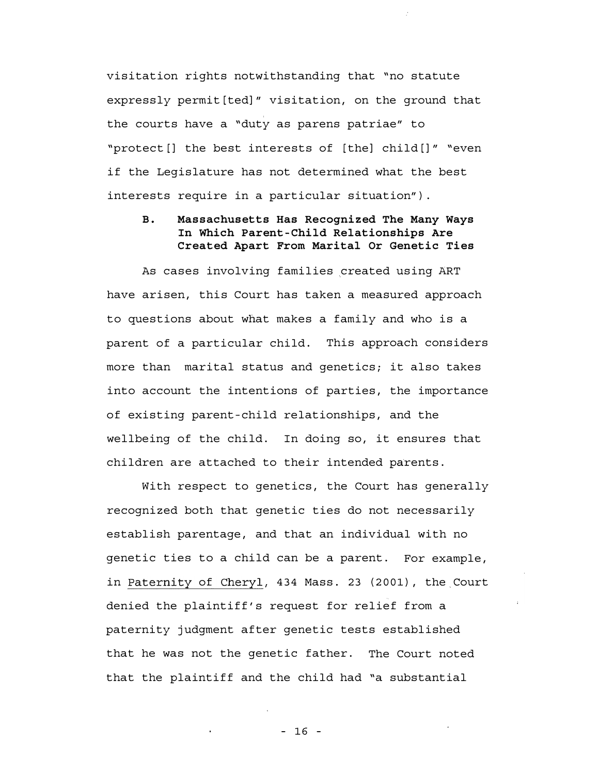visitation rights notwithstanding that "no statute expressly permit[ted]" visitation, on the ground that the courts have a "duty as parens patriae" to "protect[] the best interests of [the] child[]" "even if the Legislature has not determined what the best interests require in a particular situation").

# B. Massachusetts Has Recognized The Many Ways In Which Parent-Child Relationships Are Created Apart From Marital Or Genetic Ties

As cases involving families created using ART have arisen, this Court has taken a measured approach to questions about what makes a family and who is a parent of a particular child. This approach considers more than marital status and genetics; it also takes into account the intentions of parties, the importance of existing parent-child relationships, and the wellbeing of the child. In doing so, it ensures that children are attached to their intended parents.

With respect to genetics, the Court has generally recognized both that genetic ties do not necessarily establish parentage, and that an individual with no genetic ties to a child can be a parent. For example, in Paternity of Cheryl, 434 Mass. 23 (2001), the Court denied the plaintiff's request for relief from a paternity judgment after genetic tests established that he was not the genetic father. The Court noted that the plaintiff and the child had "a substantial

- 16 -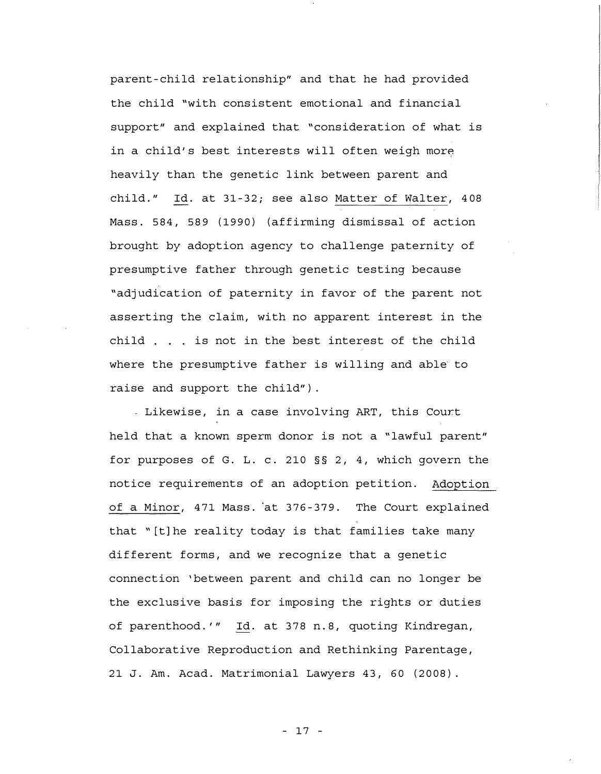parent - child relationship" and that he had provided the child "with consistent emotional and financial support" and explained that "consideration of what is in a child's best interests will often weigh more heavily than the genetic link between parent and child. " Id. at 31 -32; see also Matter of Walter, 408 Mass. 584, 589 (1990) (affirming dismissal of action brought by adoption agency to challenge paternity of presumptive father through genetic testing because "adjudication of paternity in favor of the parent not asserting the claim, with no apparent interest in the child . is not in the best interest of the child where the presumptive father is willing and able to raise and support the child").

Likewise, in a case involving ART, this Court held that a known sperm donor is not a "lawful parent" for purposes of G. L. c. 210 §§ 2, 4, which govern the notice requirements of an adoption petition. Adoption of a Minor, 471 Mass. at 376 -379. The Court explained that "[t]he reality today is that families take many different forms, and we recognize that a genetic connection 'between parent and child can no longer be the exclusive basis for imposing the rights or duties of parenthood. '" Id. at 378 n. 8, quoting Kindregan, Collaborative Reproduction and Rethinking Parentage, 21 J. Am. Acad. Matrimonial Lawyers 43, 60 (2008).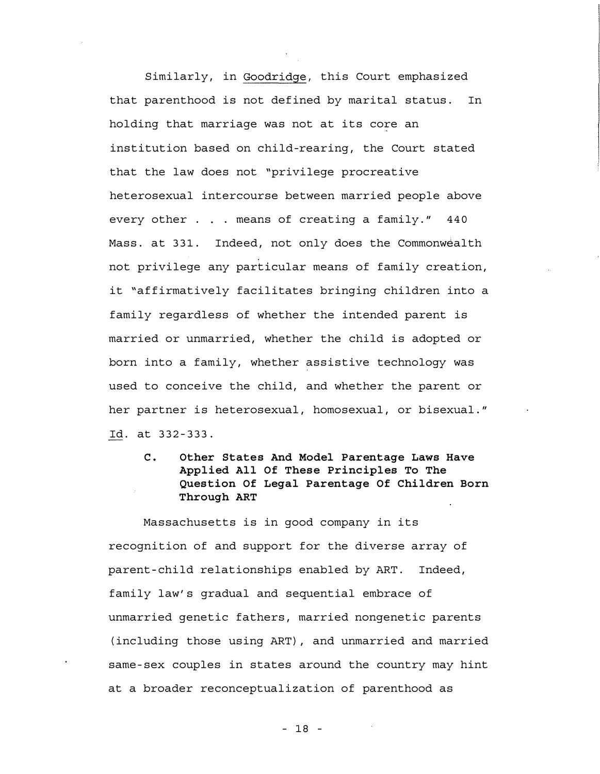Similarly, in Goodridge, this Court emphasized that parenthood is not defined by marital status. In holding that marriage was not at its core an institution based on child-rearing, the Court stated that the law does not "privilege procreative heterosexual intercourse between married people above every other . . . means of creating a family." 440 Mass. at 331. Indeed, not only does the Commonwealth not privilege any particular means of family creation, it "affirmatively facilitates bringing children into a family regardless of whether the intended parent is married or unmarried, whether the child is adopted or born into a family, whether assistive technology was used to conceive the child, and whether the parent or her partner is heterosexual, homosexual, or bisexual." Id. at 332 - 333.

C. Other States And Model Parentage Laws Have Applied All Of These Principles To The Question Of Legal Parentage Of Children Born Through ART

Massachusetts is in good company in its recognition of and support for the diverse array of parent - child relationships enabled by ART. Indeed, family law's gradual and sequential embrace of unmarried genetic fathers, married nongenetic parents (including those using ART), and unmarried and married same-sex couples in states around the country may hint at a broader reconceptualization of parenthood as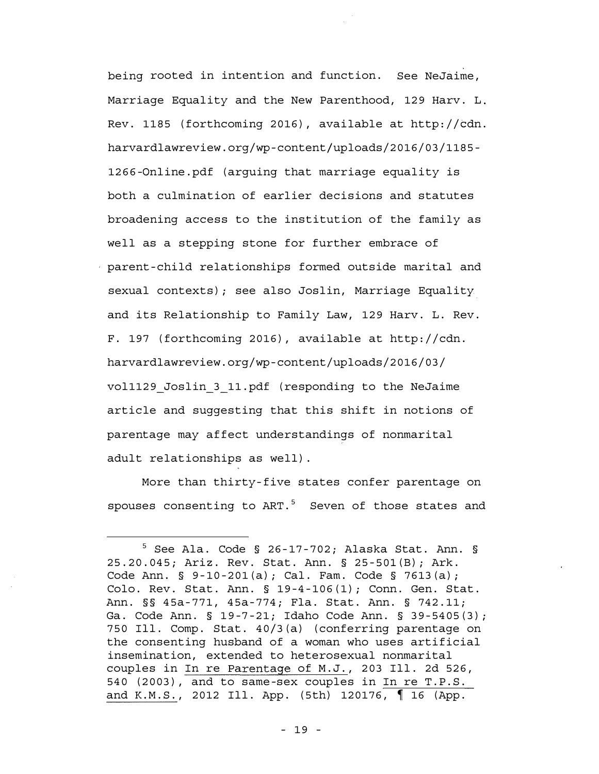being rooted in intention and function. See NeJaime, Marriage Equality and the New Parenthood, 129 Harv. L. Rev. 1185 (forthcoming 2016), available at http://cdn. harvardlawreview. org/wp-content/uploads/2016/03/1185- 1266-0nline. pdf (arguing that marriage equality is both a culmination of earlier decisions and statutes broadening access to the institution of the family as well as a stepping stone for further embrace of parent-child relationships formed outside marital and sexual contexts); see also Joslin, Marriage Equality and its Relationship to Family Law, 129 Harv. L. Rev. F. 197 (forthcoming 2016), available at http://cdn. harvardlawreview. org/wp-content/uploads/2016/03/ vol1129\_Joslin\_3\_11. pdf (responding to the NeJaime article and suggesting that this shift in notions of parentage may affect understandings of nonmarital adult relationships as well) .

More than thirty-five states confer parentage on spouses consenting to  $ART.^5$  Seven of those states and

 $5$  See Ala. Code § 26-17-702; Alaska Stat. Ann. § 25. 20. 045; Ariz. Rev. Stat. Ann. § 25-SOl(B); Ark. Code Ann. § 9-10-201(a); Cal. Fam. Code § 7613(a); Colo. Rev. Stat. Ann. § 19-4-106(1); Conn. Gen. Stat. Ann. §§ 45a-771, 45a-774; Fla. Stat. Ann. § 742. 11; Ga. Code Ann. § 19-7-21; Idaho Code Ann. § 39-5405(3); 750 Ill. Comp. Stat. 40/3(a) (conferring parentage on the consenting husband of a woman who uses artificial insemination, extended to heterosexual nonmarital couples in In re Parentage of M. J. , 203 Ill. 2d 526, 540 (2003), and to same-sex couples in In re T. P. S. and K.M.S., 2012 Ill. App. (5th) 120176, 16 (App.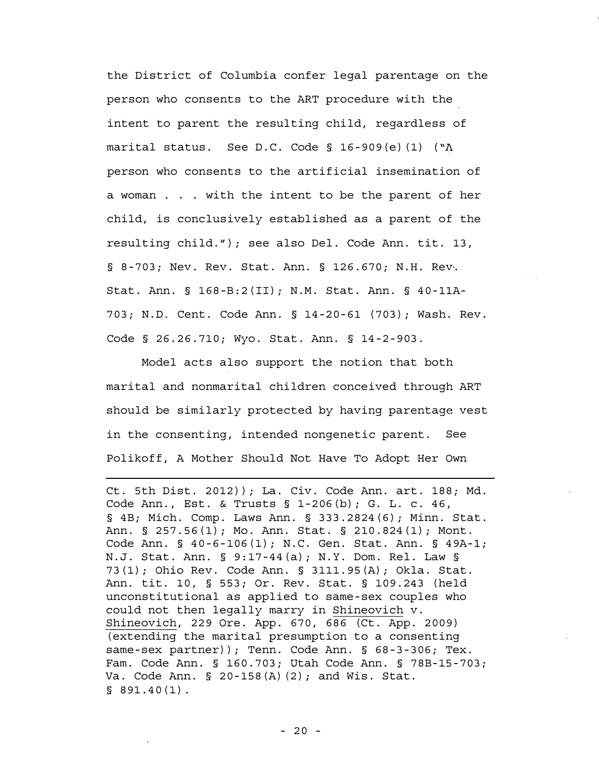the District of Columbia confer legal parentage on the person who consents to the ART procedure with the intent to parent the resulting child, regardless of marital status. See D.C. Code § 16-909(e)(1) (" $\Lambda$ person who consents to the artificial insemination of a woman . . . with the intent to be the parent of her child, is conclusively established as a parent of the resulting child. " ); see also Del. Code Ann. tit. 13, § 8-703; Nev. Rev. Stat. Ann. § 126.670; N.H. Rev. Stat. Ann. § 168-B:2(II); N.M. Stat. Ann. § 40-11A-703; N. D. Cent. Code Ann. § 14- 20-61 (703); Wash. Rev. Code § 26. 26. 710; Wyo. Stat. Ann. § 14 -2-903.

Model acts also support the notion that both marital and nonmarital children conceived through ART should be similarly protected by having parentage vest in the consenting, intended nongenetic parent. See Polikoff, A Mother Should Not Have To Adopt Her Own

Ct. 5th Dist. 2012)); La. Civ. Code Ann. art. 188; Md. Code Ann. , Est. & Trusts § 1-206 (b); G. L. c. 46, § 4B; Mich. Comp. Laws Ann. § 333. 2824 (6); Minn. Stat. Ann. § 257. 56 (1); Mo. Ann. Stat. § 210. 824 (1); Mont. Code Ann. § 40-6-106(1); N.C. Gen. Stat. Ann. § 49A-1; N. J. Stat. Ann. § 9:17- 44 (a); N. Y. Dom. Rel. Law § 73 (1); Ohio Rev. Code Ann. § 3111. 95 (A); Okla. Stat. Ann. tit. 10, § 553; Or. Rev. Stat. § 109. 243 (held unconstitutional as applied to same - sex couples who could not then legally marry in Shineovich v. Shineovich, 229 Ore. App. 670, 686 (Ct. App. 2009) (extending the marital presumption to a consenting same-sex partner)); Tenn. Code Ann. § 68-3-306; Tex. Fam. Code Ann. § 160. 703; Utah Code Ann. § 78B-15-703; Va. Code Ann. § 20-158(A)(2); and Wis. Stat.  $$891.40(1)$ .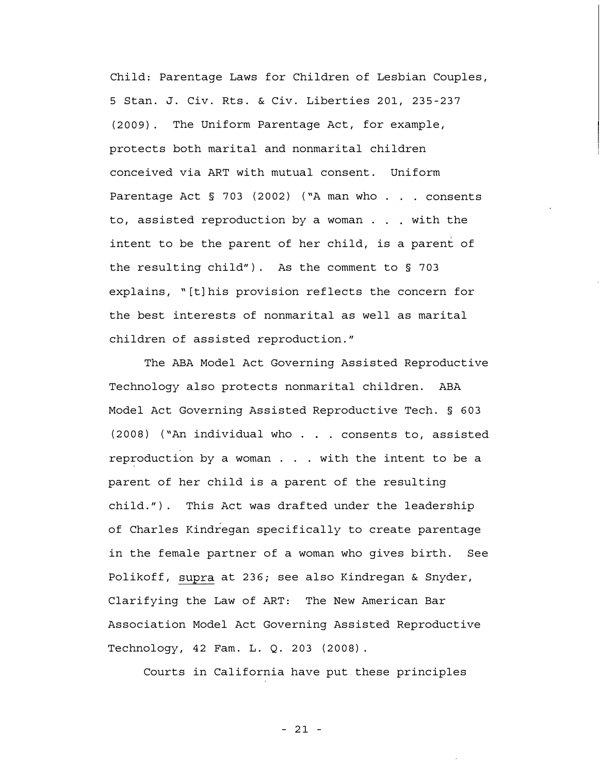Child: Parentage Laws for Children of Lesbian Couples, 5 Stan. J. Civ. Rts. & Civ. Liberties 201, 235 - 237 (2009). The Uniform Parentage Act, for example, protects both marital and nonmarital children conceived via ART with mutual consent. Uniform Parentage Act  $\S$  703 (2002) ("A man who . . . consents to, assisted reproduction by a woman  $\ldots$  with the intent to be the parent of her child, is a parent of the resulting child"). As the comment to § 703 explains, "[t]his provision reflects the concern for the best interests of nonmarital as well as marital children of assisted reproduction. "

The ABA Model Act Governing Assisted Reproductive Technology also protects nonmarital children. ABA Model Act Governing Assisted Reproductive Tech. § 603 (2008) ( "An individual who . . consents to, assisted reproduction by a woman . . . with the intent to be a parent of her child is a parent of the resulting child. "). This Act was drafted under the leadership of Charles Kindregan specifically to create parentage in the female partner of a woman who gives birth. See Polikoff, supra at 236; see also Kindregan & Snyder, Clarifying the Law of ART: The New American Bar Association Model Act Governing Assisted Reproductive Technology, 42 Fam. L. Q. 203 (2008).

Courts in California have put these principles

- 21 -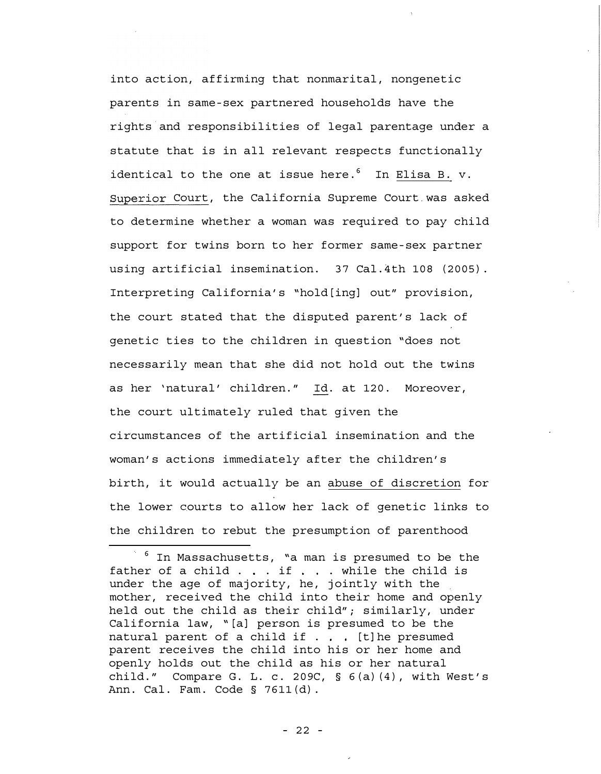into action, affirming that nonmarital, nongenetic parents in same -sex partnered households have the rights and responsibilities of legal parentage under a statute that is in all relevant respects functionally identical to the one at issue here. $6$  In Elisa B. v. Superior Court, the California Supreme Court.was asked to determine whether a woman was required to pay child support for twins born to her former same-sex partner using artificial insemination. 37 Cal. 4th 108 (2005). Interpreting California's "hold[ing] out" provision, the court stated that the disputed parent's lack of genetic ties to the children in question "does not necessarily mean that she did not hold out the twins as her 'natural' children. " Id. at 120. Moreover, the court ultimately ruled that given the circumstances of the artificial insemination and the woman's actions immediately after the children's birth, it would actually be an abuse of discretion for the lower courts to allow her lack of genetic links to the children to rebut the presumption of parenthood

 $^6$  In Massachusetts, "a man is presumed to be the father of a child . . . if . . . while the child is under the age of majority, he, jointly with the mother, received the child into their home and openly held out the child as their child"; similarly, under California law, "[a] person is presumed to be the natural parent of a child if  $\ldots$  [t] he presumed parent receives the child into his or her home and openly holds out the child as his or her natural child." Compare G. L. c. 209C,  $\S$  6(a)(4), with West's Ann. Cal. Fam. Code § 7611 (d).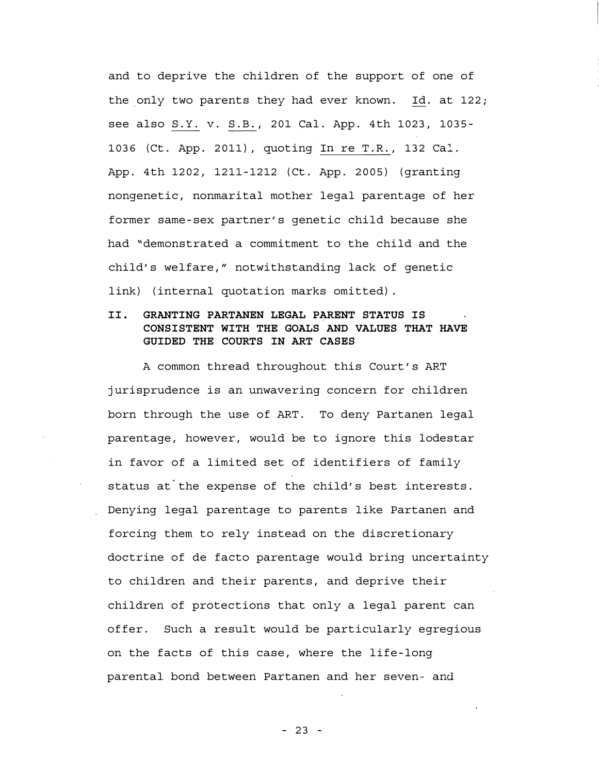and to deprive the children of the support of one of the only two parents they had ever known. Id. at 122; see also S.Y. v. S.B., 201 Cal. App. 4th 1023, 1035-1036 (Ct. App. 2011), quoting In re T. R. , 132 Cal. App. 4th 1202, 1211-1212 (Ct. App. 2005) (granting nongenetic, nonmarital mother legal parentage of her former same - sex partner's genetic child because she had "demonstrated a commitment to the child and the child's welfare, " notwithstanding lack of genetic link) (internal quotation marks omitted).

# II. GRANTING PARTANEN LEGAL PARENT STATUS IS CONSISTENT WITH THE GOALS AND VALUES THAT HAVE GUIDED THE COURTS IN ART CASES

A common thread throughout this Court's ART jurisprudence is an unwavering concern for children born through the use of ART. To deny Partanen legal parentage, however, would be to ignore this lodestar in favor of a limited set of identifiers of family status at the expense of the child's best interests. Denying legal parentage to parents like Partanen and forcing them to rely instead on the discretionary doctrine of de facto parentage would bring uncertainty to children and their parents, and deprive their children of protections that only a legal parent can offer. Such a result would be particularly egregious on the facts of this case, where the life-long parental bond between Partanen and her seven- and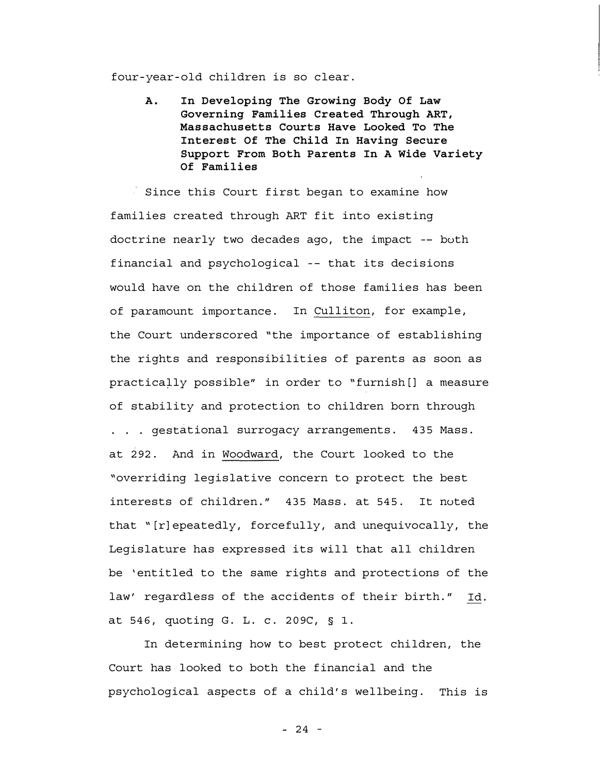four - year -old children is so clear.

A. In Developing The Growing Body Of Law Governing Families Created Through ART, Massachusetts Courts Have Looked To The Interest Of The Child In Having Secure Support From Both Parents In A Wide Variety Of Families

Since this Court first began to examine how families created through ART fit into existing doctrine nearly two decades ago, the impact -- both financial and psychological -- that its decisions would have on the children of those families has been of paramount importance. In Culliton, for example, the Court underscored "the importance of establishing the rights and responsibilities of parents as soon as practically possible" in order to "furnish[] a measure of stability and protection to children born through ... gestational surrogacy arrangements. 435 Mass. at 292. And in Woodward, the Court looked to the "overriding legislative concern to protect the best interests of children. " 435 Mass. at 545. It noted that "[r]epeatedly, forcefully, and unequivocally, the Legislature has expressed its will that all children be 'entitled to the same rights and protections of the law' regardless of the accidents of their birth. " Id. at 546, quoting G. L. c. 209C, § 1.

In determining how to best protect children, the Court has looked to both the financial and the psychological aspects of a child's wellbeing. This is

- 24 -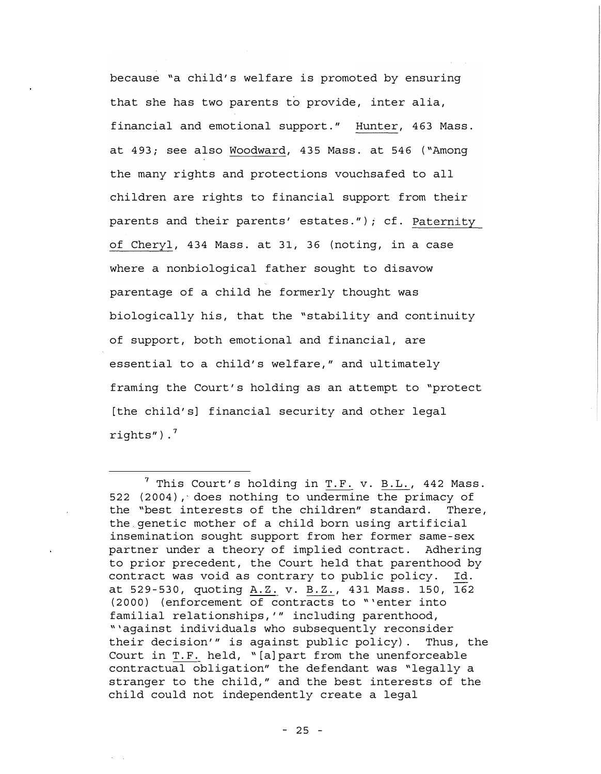because "a child's welfare is promoted by ensuring that she has two parents to provide, inter alia, financial and emotional support." Hunter, 463 Mass. at 493; see also Woodward, 435 Mass. at 546 ("Among the many rights and protections vouchsafed to all children are rights to financial support from their parents and their parents' estates."); cf. Paternity of Cheryl, 434 Mass. at 31, 36 (noting, in a case where a nonbiological father sought to disavow parentage of a child he formerly thought was biologically his, that the "stability and continuity of support, both emotional and financial, are essential to a child's welfare, " and ultimately framing the Court's holding as an attempt to "protect [the child's] financial security and other legal rights"). $<sup>7</sup>$ </sup>

 $^7$  This Court's holding in T.F. v. B.L., 442 Mass. 522 (2004), does nothing to undermine the primacy of the "best interests of the children" standard. There, the genetic mother of a child born using artificial insemination sought support from her former same -sex partner under a theory of implied contract. Adhering to prior precedent, the Court held that parenthood by contract was void as contrary to public policy. Id. at 529 - 530, quoting A. Z. v. B. Z. , 431 Mass. 150, 162 (2000) (enforcement of contracts to " 'enter into familial relationships, '" including parenthood, " 'against individuals who subsequently reconsider their decision'" is against public policy). Thus, the Court in T. F. held, "[a]part from the unenforceable contractual obligation" the defendant was "legally a stranger to the child, " and the best interests of the child could not independently create a legal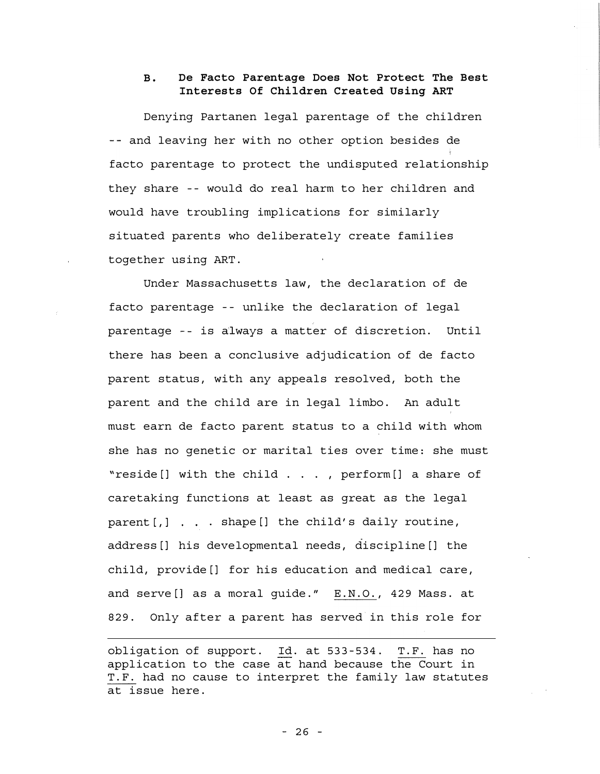## B. De Facto Parentage Does Not Protect The Best Interests Of Children Created Using ART

Denying Partanen legal parentage of the children -- and leaving her with no other option besides de facto parentage to protect the undisputed relationship they share -- would do real harm to her children and would have troubling implications for similarly situated parents who deliberately create families together using ART.

Under Massachusetts law, the declaration of de facto parentage - - unlike the declaration of legal parentage - - is always a matter of discretion. Until there has been a conclusive adjudication of de facto parent status, with any appeals resolved, both the parent and the child are in legal limbo. An adult must earn de facto parent status to a child with whom she has no genetic or marital ties over time: she must "reside[] with the child ... , perform[] a share of caretaking functions at least as great as the legal parent  $[j]$  . . . shape  $[j]$  the child's daily routine, address[] his developmental needs, discipline[] the child, provide[] for his education and medical care, and serve[] as a moral guide." E.N.O., 429 Mass. at 829. Only after a parent has served in this role for

obligation of support. Id. at 533-534. T.F. has no application to the case at hand because the Court in T. F. had no cause to interpret the family law statutes at issue here.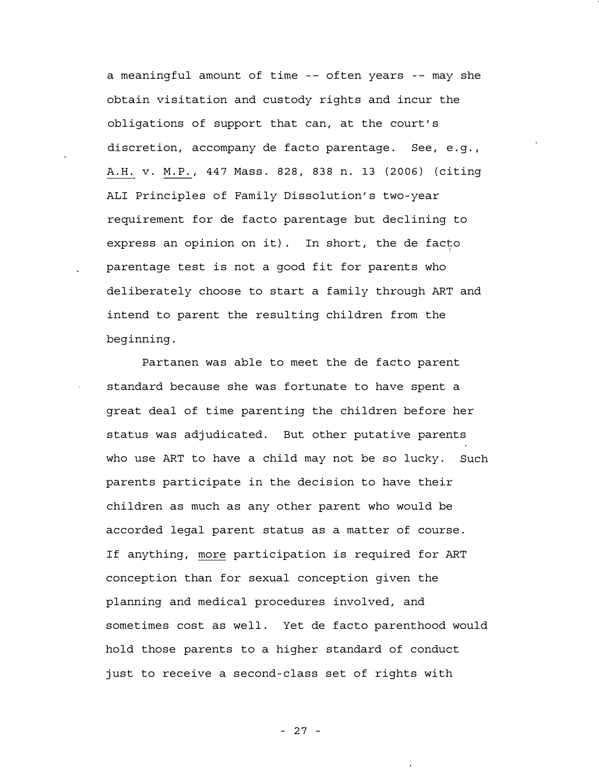a meaningful amount of time -- often years -- may she obtain visitation and custody rights and incur the obligations of support that can, at the court's discretion, accompany de facto parentage. See, e.g., A.H. v. M. P. , 447 Mass. 828, 838 n. 13 (2006) (citing ALI Principles of Family Dissolution's two -year requirement for de facto parentage but declining to express an opinion on it). In short, the de facto parentage test is not a good fit for parents who deliberately choose to start a family through ART and intend to parent the resulting children from the beginning.

Partanen was able to meet the de facto parent standard because she was fortunate to have spent a great deal of time parenting the children before her status was adjudicated. But other putative parents who use ART to have a child may not be so lucky. Such parents participate in the decision to have their children as much as any other parent who would be accorded legal parent status as a matter of course. If anything, more participation is required for ART conception than for sexual conception given the planning and medical procedures involved, and sometimes cost as well. Yet de facto parenthood would hold those parents to a higher standard of conduct just to receive a second -class set of rights with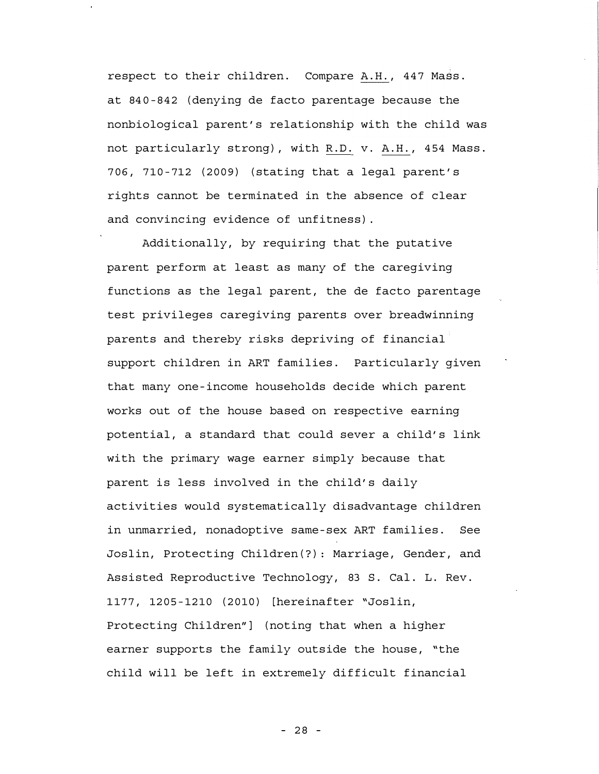respect to their children. Compare A.H., 447 Mass. at 840-842 (denying de facto parentage because the nonbiological parent's relationship with the child was not particularly strong), with R.D. v. A. H. , 454 Mass. 706, 710-712 (2009) (stating that a legal parent's rights cannot be terminated in the absence of clear and convincing evidence of unfitness) .

Additionally, by requiring that the putative parent perform at least as many of the caregiving functions as the legal parent, the de facto parentage test privileges caregiving parents over breadwinning parents and thereby risks depriving of financial support children in ART families. Particularly given that many one -income households decide which parent works out of the house based on respective earning potential, a standard that could sever a child's link with the primary wage earner simply because that parent is less involved in the child's daily activities would systematically disadvantage children in unmarried, nonadoptive same -sex ART families. See Joslin, Protecting Children (?): Marriage, Gender, and Assisted Reproductive Technology, 83 S. Cal. L. Rev. 1177, 1205-1210 (2010) [hereinafter "Joslin, Protecting Children"] (noting that when a higher earner supports the family outside the house, "the child will be left in extremely difficult financial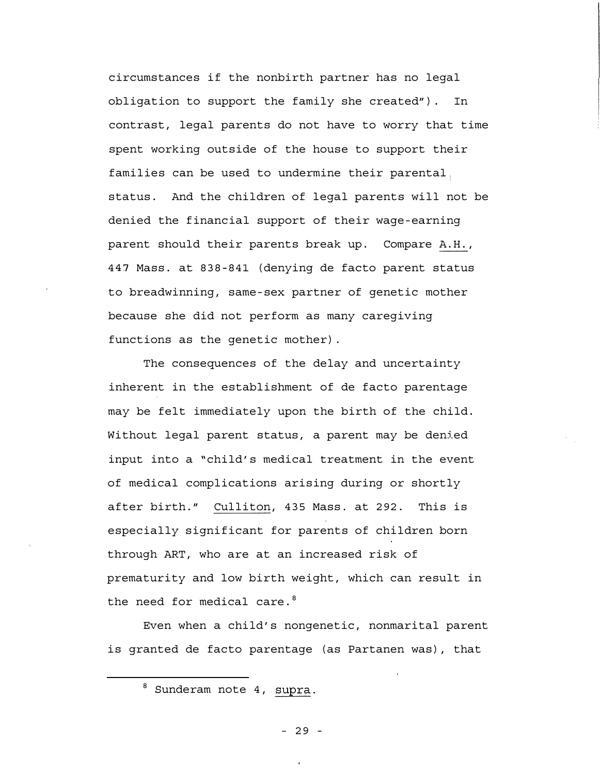circumstances if the nonbirth partner has no legal obligation to support the family she created" ). In contrast, legal parents do not have to worry that time spent working outside of the house to support their families can be used to undermine their parental: status. And the children of legal parents will not be denied the financial support of their wage -earning parent should their parents break up. Compare A.H., 447 Mass. at 838-841 (denying de facto parent status to breadwinning, same -sex partner of genetic mother because she did not perform as many caregiving functions as the genetic mother) .

The consequences of the delay and uncertainty inherent in the establishment of de facto parentage may be felt immediately upon the birth of the child. Without legal parent status, a parent may be denied input into a "child's medical treatment in the event of medical complications arising during or shortly after birth." Culliton, 435 Mass. at 292. This is especially significant for parents of children born through ART, who are at an increased risk of prematurity and low birth weight, which can result in the need for medical care.<sup>8</sup>

Even when a child's nongenetic, nonmarital parent is granted de facto parentage (as Partanen was), that

<sup>8</sup> Sunderam note 4, supra.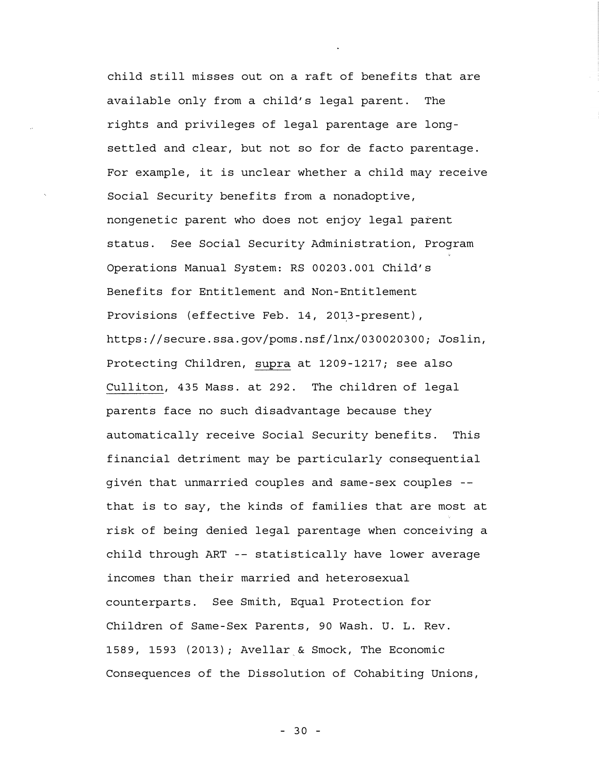child still misses out on a raft of benefits that are available only from a child's legal parent. The rights and privileges of legal parentage are long settled and clear, but not so for de facto parentage. For example, it is unclear whether a child may receive Social Security benefits from a nonadoptive, nongenetic parent who does not enjoy legal parent status. See Social Security Administration, Program Operations Manual System: RS 00203. 001 Child's Benefits for Entitlement and Non - Entitlement Provisions (effective Feb. 14, 2013-present), https://secure. ssa. gov/poms. nsf/lnx/030020300; Joslin, Protecting Children, supra at 1209 -1217; see also Culliton, 435 Mass. at 292. The children of legal parents face no such disadvantage because they automatically receive Social Security benefits. This financial detriment may be particularly consequential given that unmarried couples and same -sex couples that is to say, the kinds of families that are most at risk of being denied legal parentage when conceiving a child through ART -- statistically have lower average incomes than their married and heterosexual counterparts. See Smith, Equal Protection for Children of Same - Sex Parents, 90 Wash. U. L. Rev. 1589, 1593 (2013); Avellar & Smock, The Economic Consequences of the Dissolution of Cohabiting Unions,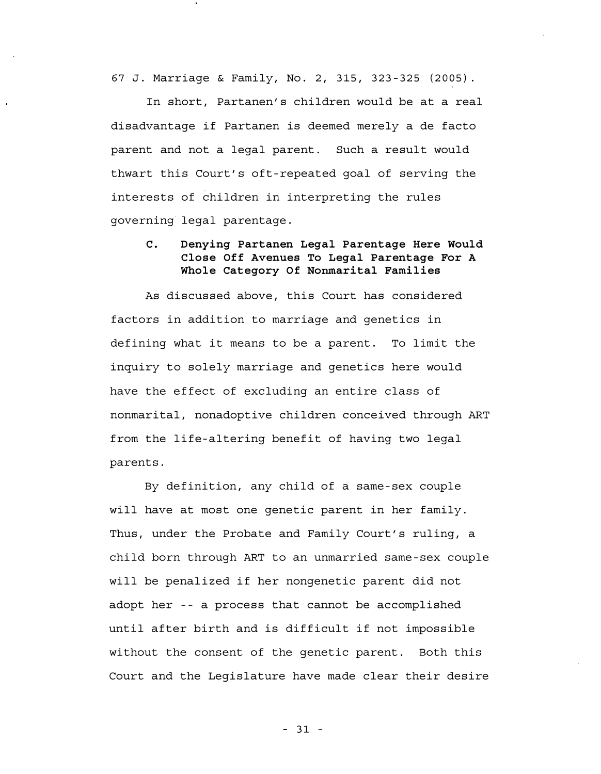67 J. Marriage & Family, No. 2, 315, 323 -325 (2005).

In short, Partanen's children would be at a real disadvantage if Partanen is deemed merely a de facto parent and not a legal parent. Such a result would thwart this Court's oft -repeated goal of serving the interests of children in interpreting the rules governing legal parentage.

# C. Denying Partanen Legal Parentage Here Would Close Off Avenues To Legal Parentage For A Whole Category Of Nonmarital Families

As discussed above, this Court has considered factors in addition to marriage and genetics in defining what it means to be a parent. To limit the inquiry to solely marriage and genetics here would have the effect of excluding an entire class of nonmarital, nonadoptive children conceived through ART from the life-altering benefit of having two legal parents.

By definition, any child of a same - sex couple will have at most one genetic parent in her family. Thus, under the Probate and Family Court's ruling, a child born through ART to an unmarried same -sex couple will be penalized if her nongenetic parent did not adopt her -- a process that cannot be accomplished until after birth and is difficult if not impossible without the consent of the genetic parent. Both this Court and the Legislature have made clear their desire

- 31 -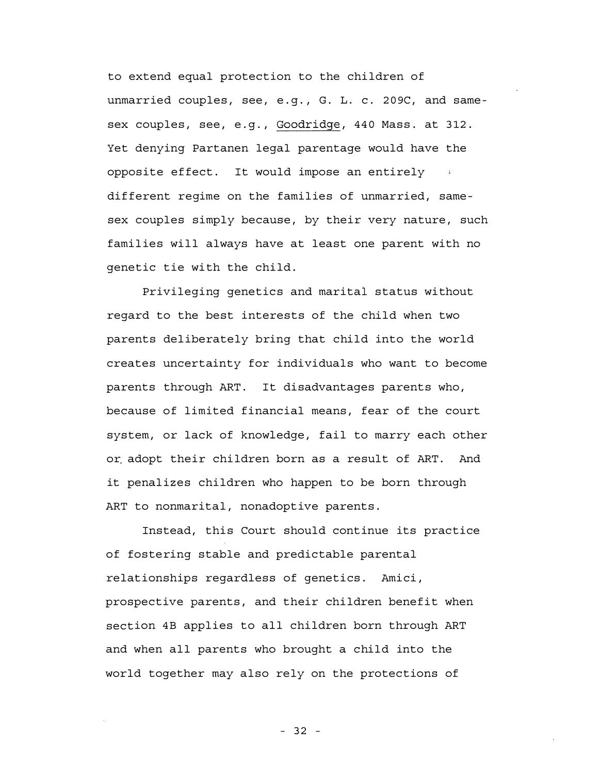to extend equal protection to the children of unmarried couples, see, e.g., G. L. c. 209C, and samesex couples, see, e.g., Goodridge, 440 Mass. at 312. Yet denying Partanen legal parentage would have the opposite effect. It would impose an entirely different regime on the families of unmarried, same sex couples simply because, by their very nature, such families will always have at least one parent with no genetic tie with the child.

Privileging genetics and marital status without regard to the best interests of the child when two parents deliberately bring that child into the world creates uncertainty for individuals who want to become parents through ART. It disadvantages parents who, because of limited financial means, fear of the court system, or lack of knowledge, fail to marry each other or adopt their children born as a result of ART. And it penalizes children who happen to be born through ART to nonmarital, nonadoptive parents.

Instead, this Court should continue its practice of fostering stable and predictable parental relat ionships regardless of genetics. Amici, prospective parents, and their children benefit when section 4B applies to all children born through ART and when all parents who brought a child into the world together may also rely on the protections of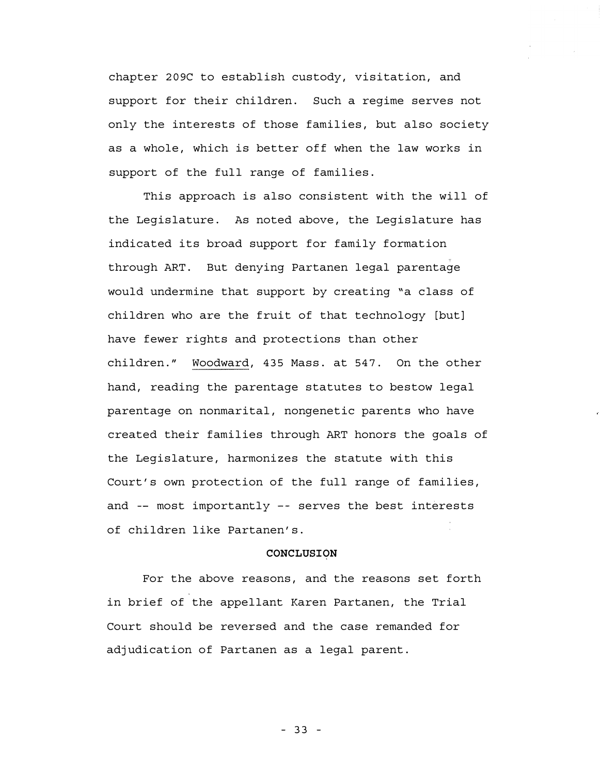chapter 209C to establish custody, visitation, and support for their children. Such a regime serves not only the interests of those families, but also society as a whole, which is better off when the law works in support of the full range of families.

This approach is also consistent with the will of the Legislature. As noted above, the Legislature has indicated its broad support for family formation through ART. But denying Partanen legal parentage would undermine that support by creating "a class of children who are the fruit of that technology [but] have fewer rights and protections than other children. " Woodward, 435 Mass. at 547. On the other hand, reading the parentage statutes to bestow legal parentage on nonmarital, nongenetic parents who have created their families through ART honors the goals of the Legislature, harmonizes the statute with this Court's own protection of the full range of families, and  $--$  most importantly  $--$  serves the best interests of children like Partanen's.

#### CONCLUSION

For the above reasons, and the reasons set forth in brief of the appellant Karen Partanen, the Trial Court should be reversed and the case remanded for adjudication of Partanen as a legal parent.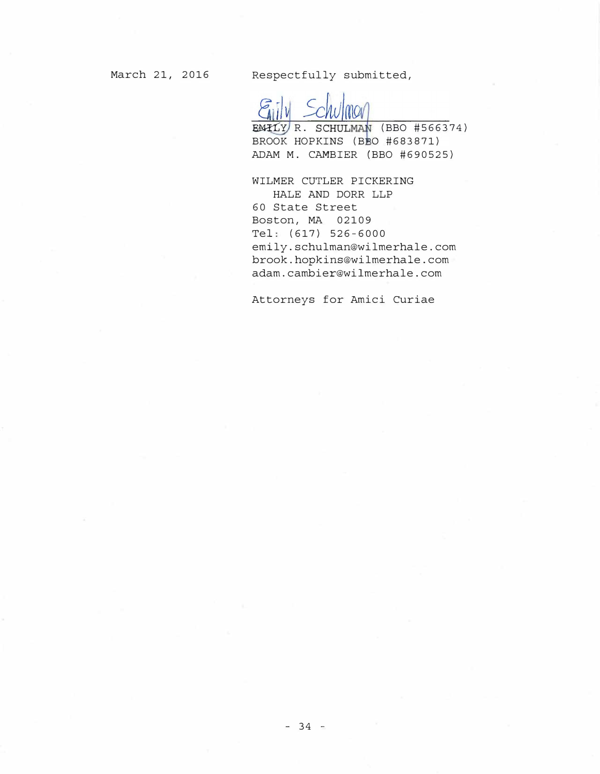March 21, 2016 Respectfully submitted,

EMILY R. SCHULMAN (BBO #566374) BROOK HOPKINS (BBO #683871) ADAM M. CAMBIER (BBO #690525)

WILMER CUTLER PICKERING HALE AND DORR LLP 60 State Street Boston, MA 02109 Tel: (617) 526-6000 emily.schulman@wilmerhale.com brook.hopkins@wilmerhale.com adam. cambier@wilmerhale.com

Attorneys for Amici Curiae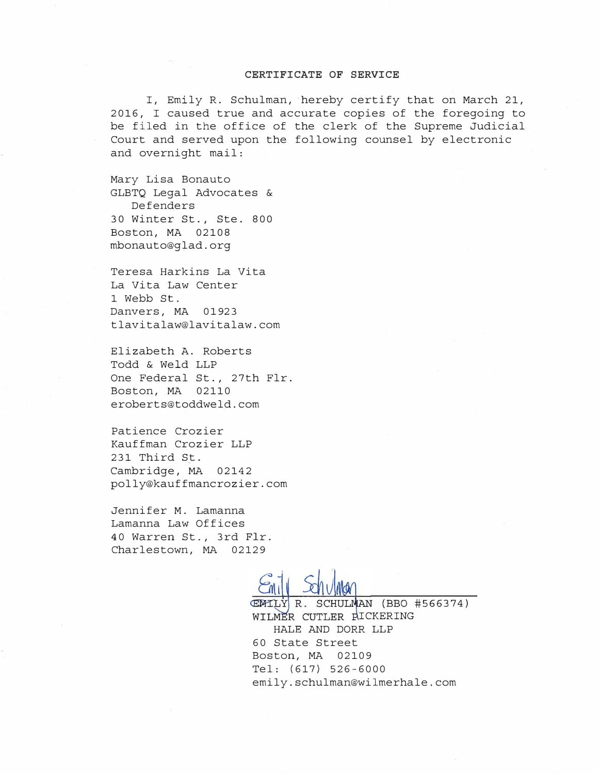#### CERTIFICATE OF SERVICE

I, Emily R. Schulman, hereby certify that on March 21, 2016, I caused true and accurate copies of the foregoing to be filed in the office of the clerk of the Supreme Judicial Court and served upon the following counsel by electronic and overnight mail:

Mary Lisa Bonauto GLBTQ Legal Advocates & Def enders 30 Winter St., Ste. 800 Boston, MA 02108 mbonauto@glad.org

Teresa Harkins La Vita La Vita Law Center 1 Webb St. Danvers, MA 01923 tlavitalaw@lavitalaw.com

Elizabeth A. Roberts Todd & Weld LLP One Federal St., 27th Flr. Boston, MA 02110 eroberts@toddweld.com

Patience Crozier Kauffman Crozier LLP 231 Third St. Cambridge, MA 02142 polly@kauffmancrozier.com

Jennifer M. Lamanna Lamanna Law Offices 40 Warren St., 3rd Flr. Charlestown, MA 02129

EMILY R. SCHULMAN (BBO #566374) WILMER CUTLER RICKERING HALE AND DORR LLP 60 State Street Boston, MA 02109 Tel: (617) 526-6000 emily.schulman@wilmerhale.com